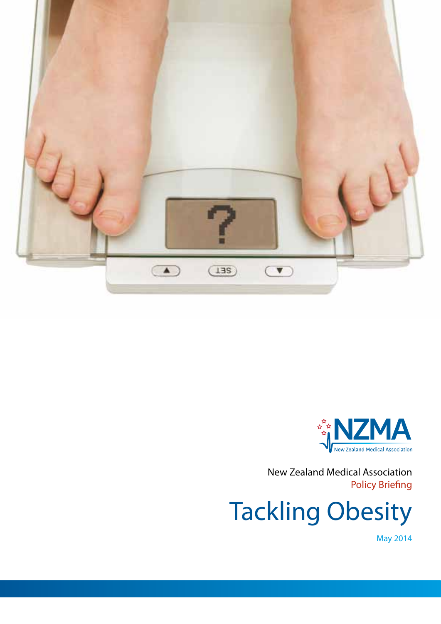



New Zealand Medical Association Policy Briefing

Tackling Obesity

May 2014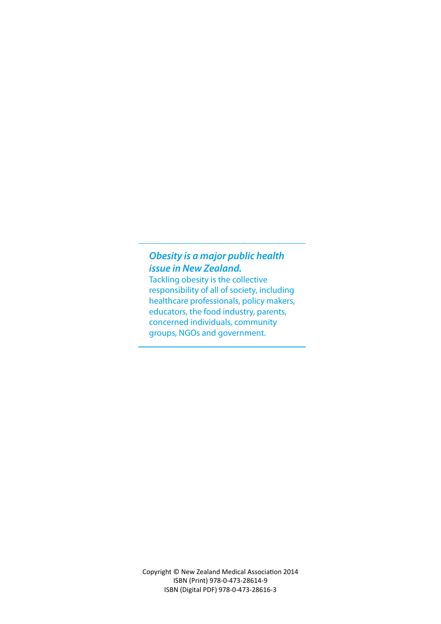## *Obesity is a major public health issue in New Zealand.*

Tackling obesity is the collective responsibility of all of society, including healthcare professionals, policy makers, educators, the food industry, parents, concerned individuals, community groups, NGOs and government.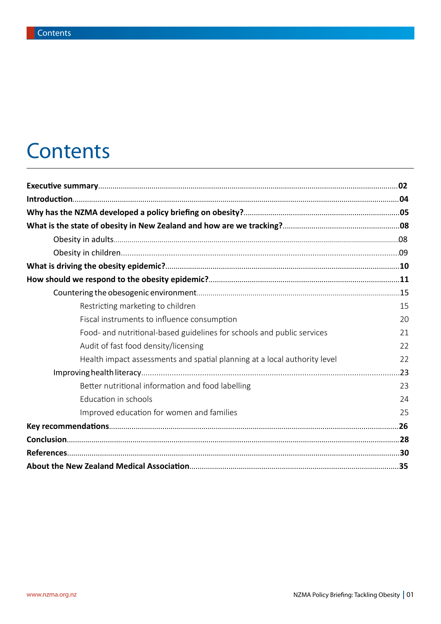## **Contents**

| Restricting marketing to children                                         | 15  |
|---------------------------------------------------------------------------|-----|
| Fiscal instruments to influence consumption                               | 20  |
| Food- and nutritional-based guidelines for schools and public services    | 21  |
| Audit of fast food density/licensing                                      | 22  |
| Health impact assessments and spatial planning at a local authority level | 22  |
|                                                                           | .23 |
| Better nutritional information and food labelling                         | 23  |
| Education in schools                                                      | 24  |
| Improved education for women and families                                 | 25  |
|                                                                           |     |
|                                                                           |     |
|                                                                           |     |
|                                                                           |     |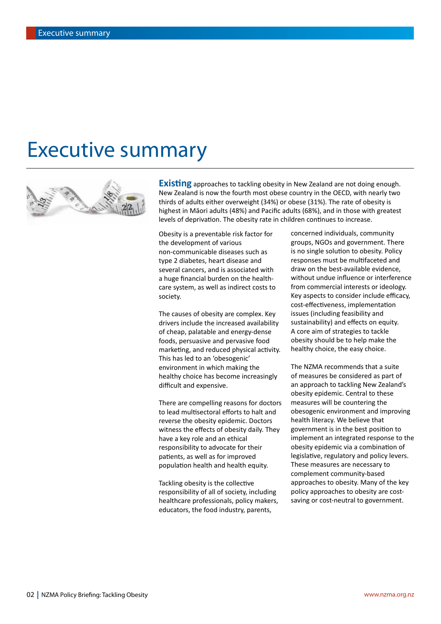## Executive summary



**Existing** approaches to tackling obesity in New Zealand are not doing enough. New Zealand is now the fourth most obese country in the OECD, with nearly two thirds of adults either overweight (34%) or obese (31%). The rate of obesity is highest in Māori adults (48%) and Pacific adults (68%), and in those with greatest levels of deprivation. The obesity rate in children continues to increase.

Obesity is a preventable risk factor for the development of various non-communicable diseases such as type 2 diabetes, heart disease and several cancers, and is associated with a huge financial burden on the healthcare system, as well as indirect costs to society.

The causes of obesity are complex. Key drivers include the increased availability of cheap, palatable and energy-dense foods, persuasive and pervasive food marketing, and reduced physical activity. This has led to an 'obesogenic' environment in which making the healthy choice has become increasingly difficult and expensive.

There are compelling reasons for doctors to lead multisectoral efforts to halt and reverse the obesity epidemic. Doctors witness the effects of obesity daily. They have a key role and an ethical responsibility to advocate for their patients, as well as for improved population health and health equity.

Tackling obesity is the collective responsibility of all of society, including healthcare professionals, policy makers, educators, the food industry, parents,

concerned individuals, community groups, NGOs and government. There is no single solution to obesity. Policy responses must be multifaceted and draw on the best-available evidence, without undue influence or interference from commercial interests or ideology. Key aspects to consider include efficacy, cost-effectiveness, implementation issues (including feasibility and sustainability) and effects on equity. A core aim of strategies to tackle obesity should be to help make the healthy choice, the easy choice.

The NZMA recommends that a suite of measures be considered as part of an approach to tackling New Zealand's obesity epidemic. Central to these measures will be countering the obesogenic environment and improving health literacy. We believe that government is in the best position to implement an integrated response to the obesity epidemic via a combination of legislative, regulatory and policy levers. These measures are necessary to complement community-based approaches to obesity. Many of the key policy approaches to obesity are costsaving or cost-neutral to government.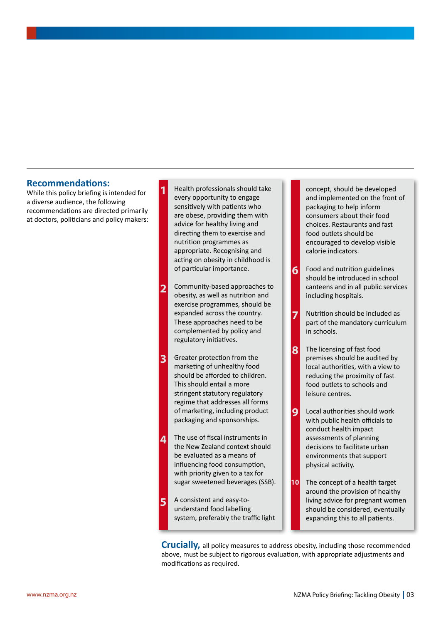### **Recommendations:**

While this policy briefing is intended for a diverse audience, the following recommendations are directed primarily at doctors, politicians and policy makers:

- **1** Health professionals should take every opportunity to engage sensitively with patients who are obese, providing them with advice for healthy living and directing them to exercise and nutrition programmes as appropriate. Recognising and acting on obesity in childhood is of particular importance. Community-based approaches to obesity, as well as nutrition and exercise programmes, should be expanded across the country. These approaches need to be complemented by policy and regulatory initiatives. Greater protection from the marketing of unhealthy food should be afforded to children. This should entail a more stringent statutory regulatory regime that addresses all forms of marketing, including product packaging and sponsorships. The use of fiscal instruments in **2 3 4**
- the New Zealand context should be evaluated as a means of influencing food consumption, with priority given to a tax for sugar sweetened beverages (SSB).
- A consistent and easy-tounderstand food labelling system, preferably the traffic light **5**

concept, should be developed and implemented on the front of packaging to help inform consumers about their food choices. Restaurants and fast food outlets should be encouraged to develop visible calorie indicators.

- Food and nutrition guidelines should be introduced in school canteens and in all public services including hospitals. **6**
	- Nutrition should be included as part of the mandatory curriculum in schools.
- The licensing of fast food premises should be audited by local authorities, with a view to reducing the proximity of fast food outlets to schools and leisure centres. **8**
- Local authorities should work with public health officials to conduct health impact assessments of planning decisions to facilitate urban environments that support physical activity. **9**
- The concept of a health target around the provision of healthy living advice for pregnant women should be considered, eventually expanding this to all patients. **10**

**Crucially,** all policy measures to address obesity, including those recommended above, must be subject to rigorous evaluation, with appropriate adjustments and modifications as required.

**7**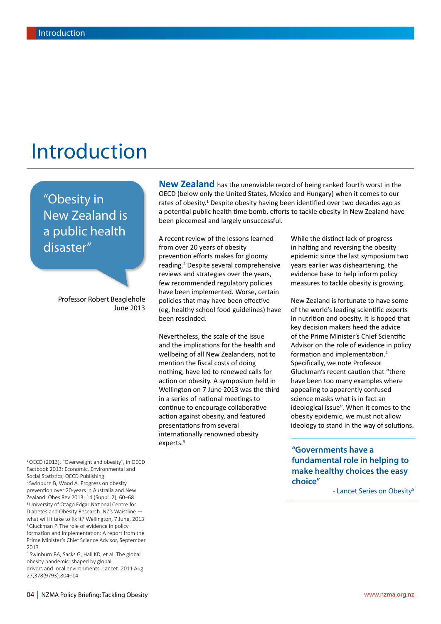## Introduction

"Obesity in New Zealand is a public health disaster"

> Professor Robert Beaglehole June 2013

1OECD (2013), "Overweight and obesity", in OECD Factbook 2013: Economic, Environmental and Social Statistics, OECD Publishing. <sup>2</sup> Swinburn B, Wood A. Progress on obesity prevention over 20-years in Australia and New Zealand. Obes Rev 2013; 14 (Suppl. 2), 60–68 <sup>3</sup> University of Otago Edgar National Centre for Diabetes and Obesity Research. NZ's Waistline what will it take to fix it? Wellington, 7 June, 2013 4Gluckman P. The role of evidence in policy formation and implementation: A report from the Prime Minister's Chief Science Advisor, September 2013

<sup>5</sup> Swinburn BA, Sacks G, Hall KD, et al. The global obesity pandemic: shaped by global drivers and local environments. Lancet. 2011 Aug 27;378(9793):804–14

**New Zealand** has the unenviable record of being ranked fourth worst in the OECD (below only the United States, Mexico and Hungary) when it comes to our rates of obesity.<sup>1</sup> Despite obesity having been identified over two decades ago as a potential public health time bomb, efforts to tackle obesity in New Zealand have been piecemeal and largely unsuccessful.

A recent review of the lessons learned from over 20 years of obesity prevention efforts makes for gloomy reading.2 Despite several comprehensive reviews and strategies over the years, few recommended regulatory policies have been implemented. Worse, certain policies that may have been effective (eg, healthy school food guidelines) have been rescinded.

Nevertheless, the scale of the issue and the implications for the health and wellbeing of all New Zealanders, not to mention the fiscal costs of doing nothing, have led to renewed calls for action on obesity. A symposium held in Wellington on 7 June 2013 was the third in a series of national meetings to continue to encourage collaborative action against obesity, and featured presentations from several internationally renowned obesity experts.<sup>3</sup>

While the distinct lack of progress in halting and reversing the obesity epidemic since the last symposium two years earlier was disheartening, the evidence base to help inform policy measures to tackle obesity is growing.

New Zealand is fortunate to have some of the world's leading scientific experts in nutrition and obesity. It is hoped that key decision makers heed the advice of the Prime Minister's Chief Scientific Advisor on the role of evidence in policy formation and implementation.4 Specifically, we note Professor Gluckman's recent caution that "there have been too many examples where appealing to apparently confused science masks what is in fact an ideological issue". When it comes to the obesity epidemic, we must not allow ideology to stand in the way of solutions.

**"Governments have a fundamental role in helping to make healthy choices the easy choice"**

- Lancet Series on Obesity<sup>5</sup>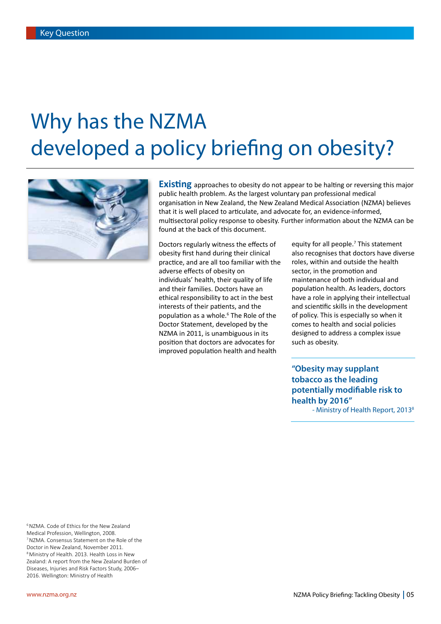# Why has the NZMA developed a policy briefing on obesity?



**Existing** approaches to obesity do not appear to be halting or reversing this major public health problem. As the largest voluntary pan professional medical organisation in New Zealand, the New Zealand Medical Association (NZMA) believes that it is well placed to articulate, and advocate for, an evidence-informed, multisectoral policy response to obesity. Further information about the NZMA can be found at the back of this document.

Doctors regularly witness the effects of obesity first hand during their clinical practice, and are all too familiar with the adverse effects of obesity on individuals' health, their quality of life and their families. Doctors have an ethical responsibility to act in the best interests of their patients, and the population as a whole.<sup>6</sup> The Role of the Doctor Statement, developed by the NZMA in 2011, is unambiguous in its position that doctors are advocates for improved population health and health

equity for all people.<sup>7</sup> This statement also recognises that doctors have diverse roles, within and outside the health sector, in the promotion and maintenance of both individual and population health. As leaders, doctors have a role in applying their intellectual and scientific skills in the development of policy. This is especially so when it comes to health and social policies designed to address a complex issue such as obesity.

**"Obesity may supplant tobacco as the leading potentially modifiable risk to health by 2016"**

- Ministry of Health Report, 2013<sup>8</sup>

6NZMA. Code of Ethics for the New Zealand Medical Profession, Wellington, 2008. 7NZMA. Consensus Statement on the Role of the Doctor in New Zealand, November 2011. 8Ministry of Health. 2013. Health Loss in New Zealand: A report from the New Zealand Burden of Diseases, Injuries and Risk Factors Study, 2006– 2016. Wellington: Ministry of Health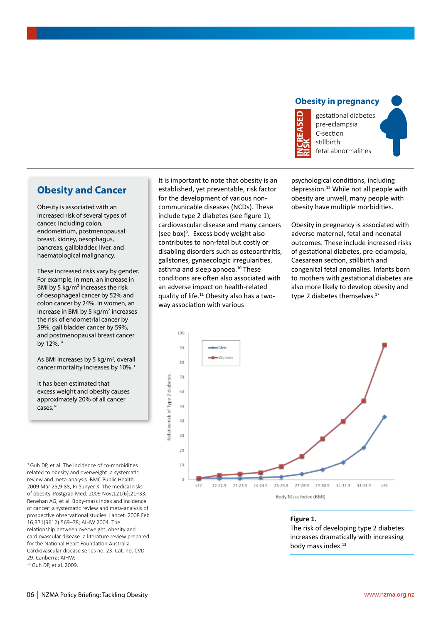### **Obesity in pregnancy**



gestational diabetes pre-eclampsia C-section stillbirth fetal abnormalities

## **Obesity and Cancer**

Obesity is associated with an increased risk of several types of cancer, including colon, endometrium, postmenopausal breast, kidney, oesophagus, pancreas, gallbladder, liver, and haematological malignancy.

These increased risks vary by gender. For example, in men, an increase in BMI by 5 kg/m² increases the risk of oesophageal cancer by 52% and colon cancer by 24%. In women, an increase in BMI by 5 kg/m<sup>2</sup> increases the risk of endometrial cancer by 59%, gall bladder cancer by 59%, and postmenopausal breast cancer by 12%.14

As BMI increases by 5 kg/m<sup>2</sup>, overall cancer mortality increases by 10%. 15

It has been estimated that excess weight and obesity causes approximately 20% of all cancer cases.16

<sup>9</sup> Guh DP, et al. The incidence of co-morbidities related to obesity and overweight: a systematic review and meta-analysis. BMC Public Health. 2009 Mar 25;9:88; Pi-Sunyer X. The medical risks of obesity. Postgrad Med. 2009 Nov;121(6):21–33; Renehan AG, et al. Body-mass index and incidence of cancer: a systematic review and meta-analysis of prospective observational studies. Lancet. 2008 Feb 16;371(9612):569–78; AIHW 2004. The relationship between overweight, obesity and cardiovascular disease: a literature review prepared for the National Heart Foundation Australia. Cardiovascular disease series no. 23. Cat. no. CVD 29. Canberra: AIHW;<br><sup>10</sup> Guh DP, et al. 2009.

It is important to note that obesity is an established, yet preventable, risk factor for the development of various noncommunicable diseases (NCDs). These include type 2 diabetes (see figure 1), cardiovascular disease and many cancers (see box)<sup>9</sup>. Excess body weight also contributes to non-fatal but costly or disabling disorders such as osteoarthritis, gallstones, gynaecologic irregularities, asthma and sleep apnoea.<sup>10</sup> These conditions are often also associated with an adverse impact on health-related quality of life.11 Obesity also has a twoway association with various

psychological conditions, including depression.12 While not all people with obesity are unwell, many people with obesity have multiple morbidities.

Obesity in pregnancy is associated with adverse maternal, fetal and neonatal outcomes. These include increased risks of gestational diabetes, pre-eclampsia, Caesarean section, stillbirth and congenital fetal anomalies. Infants born to mothers with gestational diabetes are also more likely to develop obesity and type 2 diabetes themselves.<sup>17</sup>



**Figure 1.**  The risk of developing type 2 diabetes increases dramatically with increasing body mass index.<sup>13</sup>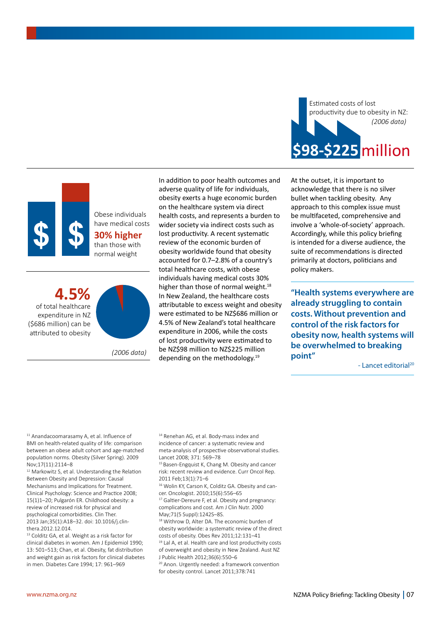

Obese individuals have medical costs **30% higher** than those with normal weight

**4.5%** of total healthcare expenditure in NZ (\$686 million) can be attributed to obesity



*(2006 data)*

In addition to poor health outcomes and adverse quality of life for individuals, obesity exerts a huge economic burden on the healthcare system via direct health costs, and represents a burden to wider society via indirect costs such as lost productivity. A recent systematic review of the economic burden of obesity worldwide found that obesity accounted for 0.7–2.8% of a country's total healthcare costs, with obese individuals having medical costs 30% higher than those of normal weight.<sup>18</sup> In New Zealand, the healthcare costs attributable to excess weight and obesity were estimated to be NZ\$686 million or 4.5% of New Zealand's total healthcare expenditure in 2006, while the costs of lost productivity were estimated to be NZ\$98 million to NZ\$225 million depending on the methodology.<sup>19</sup>



At the outset, it is important to acknowledge that there is no silver bullet when tackling obesity. Any approach to this complex issue must be multifaceted, comprehensive and involve a 'whole-of-society' approach. Accordingly, while this policy briefing is intended for a diverse audience, the suite of recommendations is directed primarily at doctors, politicians and policy makers.

**"Health systems everywhere are already struggling to contain costs. Without prevention and control of the risk factors for obesity now, health systems will be overwhelmed to breaking point"**

- Lancet editorial<sup>20</sup>

<sup>11</sup> Anandacoomarasamy A, et al. Influence of BMI on health-related quality of life: comparison between an obese adult cohort and age-matched population norms. Obesity (Silver Spring). 2009 Nov;17(11):2114–8

<sup>12</sup> Markowitz S, et al. Understanding the Relation Between Obesity and Depression: Causal Mechanisms and Implications for Treatment. Clinical Psychology: Science and Practice 2008; 15(1)1–20; Pulgarón ER. Childhood obesity: a review of increased risk for physical and psychological comorbidities. Clin Ther. 2013 Jan;35(1):A18–32. doi: 10.1016/j.clinthera.2012.12.014.

<sup>13</sup> Colditz GA, et al. Weight as a risk factor for clinical diabetes in women. Am J Epidemiol 1990; 13: 501–513; Chan, et al. Obesity, fat distribution and weight gain as risk factors for clinical diabetes in men. Diabetes Care 1994; 17: 961–969

<sup>14</sup> Renehan AG, et al. Body-mass index and incidence of cancer: a systematic review and meta-analysis of prospective observational studies. Lancet 2008; 371: 569–78

<sup>15</sup> Basen-Engquist K, Chang M. Obesity and cancer risk: recent review and evidence. Curr Oncol Rep. 2011 Feb;13(1):71–6

<sup>16</sup> Wolin KY, Carson K, Colditz GA. Obesity and cancer. Oncologist. 2010;15(6):556–65

<sup>17</sup> Galtier-Dereure F, et al. Obesity and pregnancy: complications and cost. Am J Clin Nutr. 2000 May;71(5 Suppl):1242S–8S.

18 Withrow D, Alter DA. The economic burden of obesity worldwide: a systematic review of the direct costs of obesity. Obes Rev 2011;12:131–41

<sup>19</sup> Lal A, et al. Health care and lost productivity costs of overweight and obesity in New Zealand. Aust NZ J Public Health 2012;36(6):550–6

<sup>20</sup> Anon. Urgently needed: a framework convention for obesity control. Lancet 2011;378:741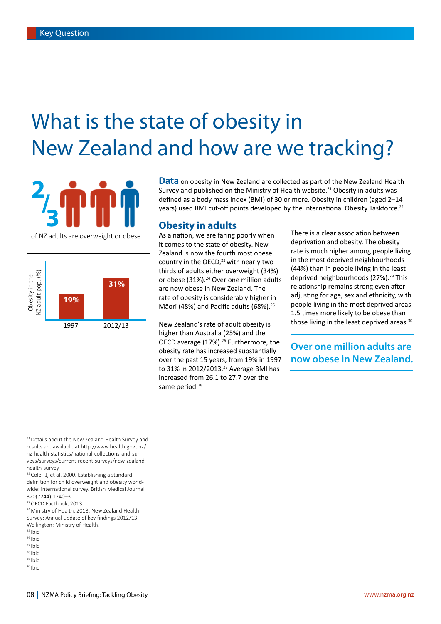# What is the state of obesity in New Zealand and how are we tracking?



Obesity in the<br>NZ adult pop. (%) NZ adult pop. (%) Obesity in the **31% 19%** 1997 2012/13 **Data** on obesity in New Zealand are collected as part of the New Zealand Health Survey and published on the Ministry of Health website.<sup>21</sup> Obesity in adults was defined as a body mass index (BMI) of 30 or more. Obesity in children (aged 2–14 years) used BMI cut-off points developed by the International Obesity Taskforce.22

## **Obesity in adults**

As a nation, we are faring poorly when it comes to the state of obesity. New Zealand is now the fourth most obese country in the OECD, $23$  with nearly two thirds of adults either overweight (34%) or obese (31%).<sup>24</sup> Over one million adults are now obese in New Zealand. The rate of obesity is considerably higher in Māori (48%) and Pacific adults (68%).<sup>25</sup>

New Zealand's rate of adult obesity is higher than Australia (25%) and the OECD average (17%).<sup>26</sup> Furthermore, the obesity rate has increased substantially over the past 15 years, from 19% in 1997 to 31% in 2012/2013.<sup>27</sup> Average BMI has increased from 26.1 to 27.7 over the same period.<sup>28</sup>

There is a clear association between deprivation and obesity. The obesity rate is much higher among people living in the most deprived neighbourhoods (44%) than in people living in the least deprived neighbourhoods (27%).<sup>29</sup> This relationship remains strong even after adjusting for age, sex and ethnicity, with people living in the most deprived areas 1.5 times more likely to be obese than those living in the least deprived areas.<sup>30</sup>

**Over one million adults are now obese in New Zealand.**

<sup>21</sup> Details about the New Zealand Health Survey and results are available at http://www.health.govt.nz/ nz-health-statistics/national-collections-and-surveys/surveys/current-recent-surveys/new-zealandhealth-survey

22Cole TJ, et al. 2000. Establishing a standard definition for child overweight and obesity worldwide: international survey. British Medical Journal 320(7244):1240–3

24Ministry of Health. 2013. New Zealand Health Survey: Annual update of key findings 2012/13. Wellington: Ministry of Health.

- $25$  Ibid
- $26$  Ibid
- $27$  Ibid
- $28$  Ibid  $29$  Ibid
- <sup>30</sup> Ibid

<sup>&</sup>lt;sup>23</sup> OECD Factbook, 2013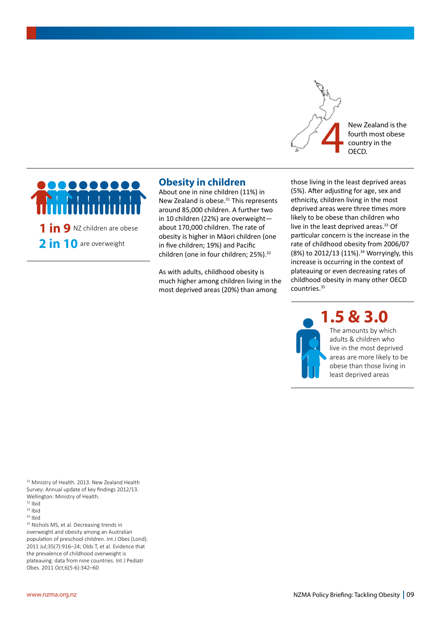

New Zealand is the fourth most obese



## **Obesity in children**

About one in nine children (11%) in New Zealand is obese.<sup>31</sup> This represents around 85,000 children. A further two in 10 children (22%) are overweight about 170,000 children. The rate of obesity is higher in Māori children (one in five children; 19%) and Pacific children (one in four children; 25%).<sup>32</sup>

As with adults, childhood obesity is much higher among children living in the most deprived areas (20%) than among

those living in the least deprived areas (5%). After adjusting for age, sex and ethnicity, children living in the most deprived areas were three times more likely to be obese than children who live in the least deprived areas.<sup>33</sup> Of particular concern is the increase in the rate of childhood obesity from 2006/07 (8%) to 2012/13 (11%).<sup>34</sup> Worryingly, this increase is occurring in the context of plateauing or even decreasing rates of childhood obesity in many other OECD countries.35

**1.5 & 3.0**



The amounts by which adults & children who live in the most deprived areas are more likely to be obese than those living in least deprived areas

<sup>31</sup> Ministry of Health. 2013. New Zealand Health Survey: Annual update of key findings 2012/13. Wellington: Ministry of Health.

<sup>32</sup> Ibid

<sup>33</sup> Ibid

<sup>34</sup> Ibid

<sup>35</sup> Nichols MS, et al. Decreasing trends in overweight and obesity among an Australian population of preschool children. Int J Obes (Lond). 2011 Jul;35(7):916–24; Olds T, et al. Evidence that the prevalence of childhood overweight is plateauing: data from nine countries. Int J Pediatr Obes. 2011 Oct;6(5-6):342–60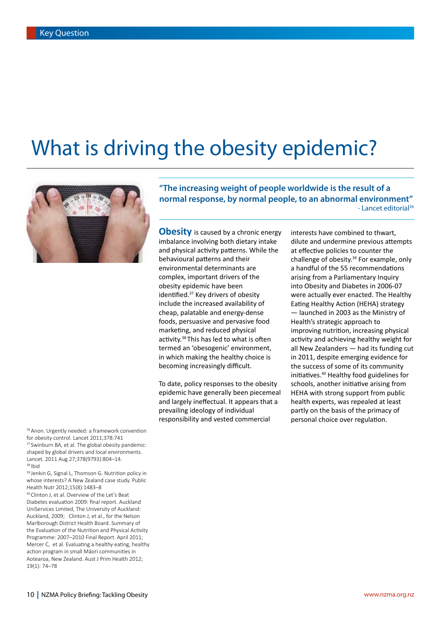# What is driving the obesity epidemic?



36 Anon. Urgently needed: a framework convention for obesity control. Lancet 2011;378:741 <sup>37</sup> Swinburn BA, et al. The global obesity pandemic: shaped by global drivers and local environments. Lancet. 2011 Aug 27;378(9793):804–14. <sup>38</sup> Ibid

39 Jenkin G, Signal L, Thomson G. Nutrition policy in whose interests? A New Zealand case study. Public Health Nutr 2012;15(8):1483–8

40Clinton J, et al. Overview of the Let's Beat Diabetes evaluation 2009: final report. Auckland UniServices Limited, The University of Auckland: Auckland, 2009; Clinton J, et al., for the Nelson Marlborough District Health Board. Summary of the Evaluation of the Nutrition and Physical Activity Programme: 2007–2010 Final Report. April 2011; Mercer C, et al. Evaluating a healthy eating, healthy action program in small Māori communities in Aotearoa, New Zealand. Aust J Prim Health 2012; 19(1): 74–78

**"The increasing weight of people worldwide is the result of a normal response, by normal people, to an abnormal environment"** - Lancet editorial<sup>36</sup>

**Obesity** is caused by a chronic energy imbalance involving both dietary intake and physical activity patterns. While the behavioural patterns and their environmental determinants are complex, important drivers of the obesity epidemic have been identified.<sup>37</sup> Key drivers of obesity include the increased availability of cheap, palatable and energy-dense foods, persuasive and pervasive food marketing, and reduced physical activity.<sup>38</sup> This has led to what is often termed an 'obesogenic' environment, in which making the healthy choice is becoming increasingly difficult.

To date, policy responses to the obesity epidemic have generally been piecemeal and largely ineffectual. It appears that a prevailing ideology of individual responsibility and vested commercial

interests have combined to thwart, dilute and undermine previous attempts at effective policies to counter the challenge of obesity. $39$  For example, only a handful of the 55 recommendations arising from a Parliamentary Inquiry into Obesity and Diabetes in 2006-07 were actually ever enacted. The Healthy Eating Healthy Action (HEHA) strategy — launched in 2003 as the Ministry of Health's strategic approach to improving nutrition, increasing physical activity and achieving healthy weight for all New Zealanders — had its funding cut in 2011, despite emerging evidence for the success of some of its community initiatives.40 Healthy food guidelines for schools, another initiative arising from HEHA with strong support from public health experts, was repealed at least partly on the basis of the primacy of personal choice over regulation.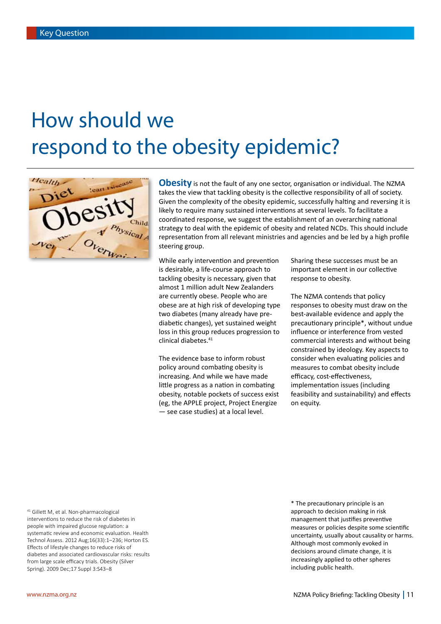# How should we respond to the obesity epidemic?



**Obesity** is not the fault of any one sector, organisation or individual. The NZMA takes the view that tackling obesity is the collective responsibility of all of society. Given the complexity of the obesity epidemic, successfully halting and reversing it is likely to require many sustained interventions at several levels. To facilitate a coordinated response, we suggest the establishment of an overarching national strategy to deal with the epidemic of obesity and related NCDs. This should include representation from all relevant ministries and agencies and be led by a high profile steering group.

While early intervention and prevention is desirable, a life-course approach to tackling obesity is necessary, given that almost 1 million adult New Zealanders are currently obese. People who are obese are at high risk of developing type two diabetes (many already have prediabetic changes), yet sustained weight loss in this group reduces progression to clinical diabetes.<sup>41</sup>

The evidence base to inform robust policy around combating obesity is increasing. And while we have made little progress as a nation in combating obesity, notable pockets of success exist (eg, the APPLE project, Project Energize — see case studies) at a local level.

Sharing these successes must be an important element in our collective response to obesity.

The NZMA contends that policy responses to obesity must draw on the best-available evidence and apply the precautionary principle\*, without undue influence or interference from vested commercial interests and without being constrained by ideology. Key aspects to consider when evaluating policies and measures to combat obesity include efficacy, cost-effectiveness, implementation issues (including feasibility and sustainability) and effects on equity.

<sup>41</sup> Gillett M, et al. Non-pharmacological interventions to reduce the risk of diabetes in people with impaired glucose regulation: a systematic review and economic evaluation. Health Technol Assess. 2012 Aug;16(33):1–236; Horton ES. Effects of lifestyle changes to reduce risks of diabetes and associated cardiovascular risks: results from large scale efficacy trials. Obesity (Silver Spring). 2009 Dec;17 Suppl 3:S43–8

\* The precautionary principle is an approach to decision making in risk management that justifies preventive measures or policies despite some scientific uncertainty, usually about causality or harms. Although most commonly evoked in decisions around climate change, it is increasingly applied to other spheres including public health.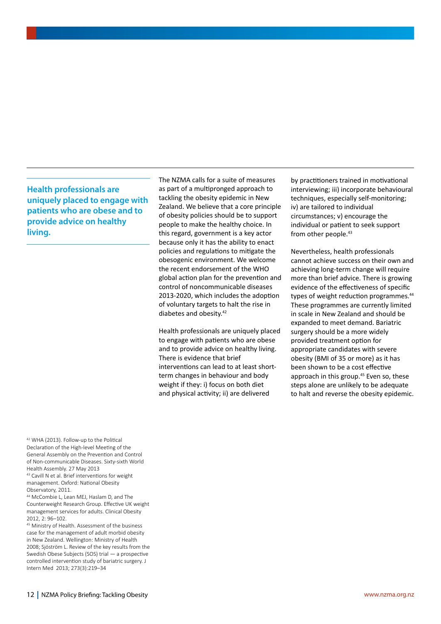**Health professionals are uniquely placed to engage with patients who are obese and to provide advice on healthy living.**

The NZMA calls for a suite of measures as part of a multipronged approach to tackling the obesity epidemic in New Zealand. We believe that a core principle of obesity policies should be to support people to make the healthy choice. In this regard, government is a key actor because only it has the ability to enact policies and regulations to mitigate the obesogenic environment. We welcome the recent endorsement of the WHO global action plan for the prevention and control of noncommunicable diseases 2013-2020, which includes the adoption of voluntary targets to halt the rise in diabetes and obesity.42

Health professionals are uniquely placed to engage with patients who are obese and to provide advice on healthy living. There is evidence that brief interventions can lead to at least shortterm changes in behaviour and body weight if they: i) focus on both diet and physical activity; ii) are delivered

by practitioners trained in motivational interviewing; iii) incorporate behavioural techniques, especially self-monitoring; iv) are tailored to individual circumstances; v) encourage the individual or patient to seek support from other people.<sup>43</sup>

Nevertheless, health professionals cannot achieve success on their own and achieving long-term change will require more than brief advice. There is growing evidence of the effectiveness of specific types of weight reduction programmes.<sup>44</sup> These programmes are currently limited in scale in New Zealand and should be expanded to meet demand. Bariatric surgery should be a more widely provided treatment option for appropriate candidates with severe obesity (BMI of 35 or more) as it has been shown to be a cost effective approach in this group.<sup>45</sup> Even so, these steps alone are unlikely to be adequate to halt and reverse the obesity epidemic.

<sup>42</sup> WHA (2013). Follow-up to the Political Declaration of the High-level Meeting of the General Assembly on the Prevention and Control of Non-communicable Diseases. Sixty-sixth World Health Assembly. 27 May 2013

43 Cavill N et al. Brief interventions for weight management. Oxford: National Obesity Observatory, 2011.

<sup>44</sup> McCombie L, Lean MEJ, Haslam D, and The Counterweight Research Group. Effective UK weight management services for adults. Clinical Obesity  $2012, 2: 96-102$ 

45 Ministry of Health. Assessment of the business case for the management of adult morbid obesity in New Zealand. Wellington: Ministry of Health 2008; Sjöström L. Review of the key results from the Swedish Obese Subjects (SOS) trial — a prospective controlled intervention study of bariatric surgery. J Intern Med 2013; 273(3):219–34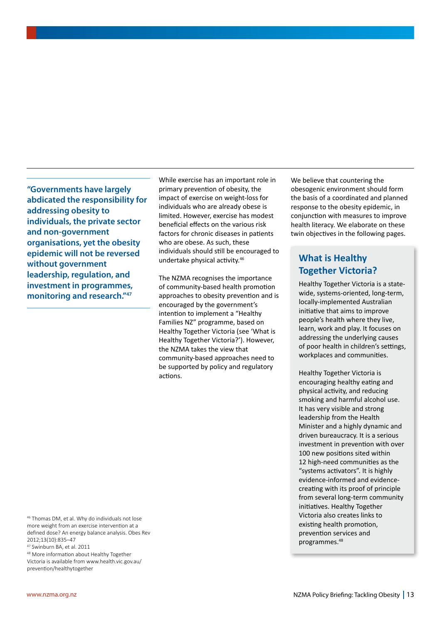**"Governments have largely abdicated the responsibility for addressing obesity to individuals, the private sector and non-government organisations, yet the obesity epidemic will not be reversed without government leadership, regulation, and investment in programmes, monitoring and research."47**

While exercise has an important role in primary prevention of obesity, the impact of exercise on weight-loss for individuals who are already obese is limited. However, exercise has modest beneficial effects on the various risk factors for chronic diseases in patients who are obese. As such, these individuals should still be encouraged to undertake physical activity.46

The NZMA recognises the importance of community-based health promotion approaches to obesity prevention and is encouraged by the government's intention to implement a "Healthy Families NZ" programme, based on Healthy Together Victoria (see 'What is Healthy Together Victoria?'). However, the NZMA takes the view that community-based approaches need to be supported by policy and regulatory actions.

We believe that countering the obesogenic environment should form the basis of a coordinated and planned response to the obesity epidemic, in conjunction with measures to improve health literacy. We elaborate on these twin objectives in the following pages.

## **What is Healthy Together Victoria?**

Healthy Together Victoria is a statewide, systems-oriented, long-term, locally-implemented Australian initiative that aims to improve people's health where they live, learn, work and play. It focuses on addressing the underlying causes of poor health in children's settings, workplaces and communities.

Healthy Together Victoria is encouraging healthy eating and physical activity, and reducing smoking and harmful alcohol use. It has very visible and strong leadership from the Health Minister and a highly dynamic and driven bureaucracy. It is a serious investment in prevention with over 100 new positions sited within 12 high-need communities as the "systems activators". It is highly evidence-informed and evidencecreating with its proof of principle from several long-term community initiatives. Healthy Together Victoria also creates links to existing health promotion, prevention services and programmes.48

<sup>46</sup> Thomas DM, et al. Why do individuals not lose more weight from an exercise intervention at a defined dose? An energy balance analysis. Obes Rev 2012;13(10):835–47

<sup>47</sup> Swinburn BA, et al. 2011

<sup>48</sup> More information about Healthy Together Victoria is available from www.health.vic.gov.au/ prevention/healthytogether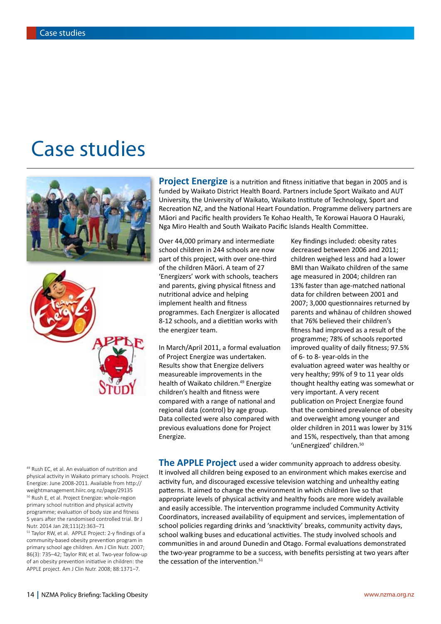## Case studies



49 Rush EC, et al. An evaluation of nutrition and physical activity in Waikato primary schools. Project Energize: June 2008-2011. Available from http:// weightmanagement.hiirc.org.nz/page/29135 <sup>50</sup> Rush E, et al. Project Energize: whole-region primary school nutrition and physical activity programme; evaluation of body size and fitness 5 years after the randomised controlled trial. Br J Nutr. 2014 Jan 28;111(2):363–71

<sup>51</sup> Taylor RW, et al. APPLE Project: 2-y findings of a community-based obesity prevention program in primary school age children. Am J Clin Nutr. 2007; 86(3): 735–42; Taylor RW, et al. Two-year follow-up of an obesity prevention initiative in children: the APPLE project. Am J Clin Nutr. 2008; 88:1371–7.

**Project Energize** is a nutrition and fitness initiative that began in 2005 and is funded by Waikato District Health Board. Partners include Sport Waikato and AUT University, the University of Waikato, Waikato Institute of Technology, Sport and Recreation NZ, and the National Heart Foundation. Programme delivery partners are Māori and Pacific health providers Te Kohao Health, Te Korowai Hauora O Hauraki, Nga Miro Health and South Waikato Pacific Islands Health Committee.

Over 44,000 primary and intermediate school children in 244 schools are now part of this project, with over one-third of the children Māori. A team of 27 'Energizers' work with schools, teachers and parents, giving physical fitness and nutritional advice and helping implement health and fitness programmes. Each Energizer is allocated 8-12 schools, and a dietitian works with the energizer team.

In March/April 2011, a formal evaluation of Project Energize was undertaken. Results show that Energize delivers measureable improvements in the health of Waikato children.<sup>49</sup> Energize children's health and fitness were compared with a range of national and regional data (control) by age group. Data collected were also compared with previous evaluations done for Project Energize.

Key findings included: obesity rates decreased between 2006 and 2011; children weighed less and had a lower BMI than Waikato children of the same age measured in 2004; children ran 13% faster than age-matched national data for children between 2001 and 2007; 3,000 questionnaires returned by parents and whānau of children showed that 76% believed their children's fitness had improved as a result of the programme; 78% of schools reported improved quality of daily fitness; 97.5% of 6- to 8- year-olds in the evaluation agreed water was healthy or very healthy; 99% of 9 to 11 year olds thought healthy eating was somewhat or very important. A very recent publication on Project Energize found that the combined prevalence of obesity and overweight among younger and older children in 2011 was lower by 31% and 15%, respectively, than that among 'unEnergized' children.<sup>50</sup>

**The APPLE Project** used a wider community approach to address obesity. It involved all children being exposed to an environment which makes exercise and activity fun, and discouraged excessive television watching and unhealthy eating patterns. It aimed to change the environment in which children live so that appropriate levels of physical activity and healthy foods are more widely available and easily accessible. The intervention programme included Community Activity Coordinators, increased availability of equipment and services, implementation of school policies regarding drinks and 'snacktivity' breaks, community activity days, school walking buses and educational activities. The study involved schools and communities in and around Dunedin and Otago. Formal evaluations demonstrated the two-year programme to be a success, with benefits persisting at two years after the cessation of the intervention.<sup>51</sup>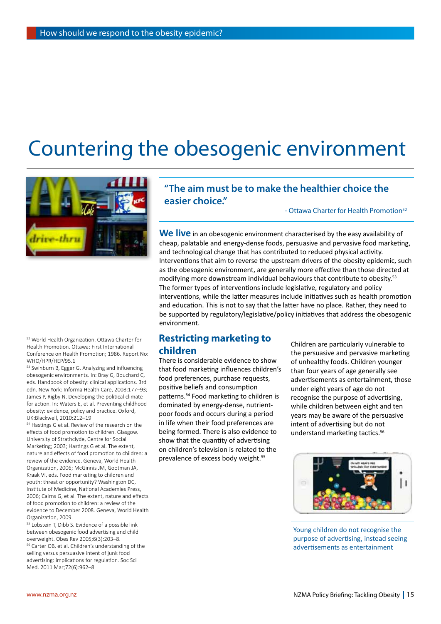# Countering the obesogenic environment



## **"The aim must be to make the healthier choice the easier choice."**

- Ottawa Charter for Health Promotion<sup>52</sup>

**We live** in an obesogenic environment characterised by the easy availability of cheap, palatable and energy-dense foods, persuasive and pervasive food marketing, and technological change that has contributed to reduced physical activity. Interventions that aim to reverse the upstream drivers of the obesity epidemic, such as the obesogenic environment, are generally more effective than those directed at modifying more downstream individual behaviours that contribute to obesity.<sup>53</sup> The former types of interventions include legislative, regulatory and policy interventions, while the latter measures include initiatives such as health promotion and education. This is not to say that the latter have no place. Rather, they need to be supported by regulatory/legislative/policy initiatives that address the obesogenic environment.

## **Restricting marketing to children**

There is considerable evidence to show that food marketing influences children's food preferences, purchase requests, positive beliefs and consumption patterns.54 Food marketing to children is dominated by energy-dense, nutrientpoor foods and occurs during a period in life when their food preferences are being formed. There is also evidence to show that the quantity of advertising on children's television is related to the prevalence of excess body weight.<sup>55</sup>

Children are particularly vulnerable to the persuasive and pervasive marketing of unhealthy foods. Children younger than four years of age generally see advertisements as entertainment, those under eight years of age do not recognise the purpose of advertising, while children between eight and ten years may be aware of the persuasive intent of advertising but do not understand marketing tactics.<sup>56</sup>



Young children do not recognise the purpose of advertising, instead seeing advertisements as entertainment

<sup>52</sup> World Health Organization. Ottawa Charter for Health Promotion. Ottawa: First International Conference on Health Promotion; 1986. Report No: WHO/HPR/HEP/95.1

<sup>53</sup> Swinburn B, Egger G. Analyzing and influencing obesogenic environments. In: Bray G, Bouchard C, eds. Handbook of obesity: clinical applications. 3rd edn. New York: Informa Health Care, 2008:177–93; James P, Rigby N. Developing the political climate for action. In: Waters E, et al. Preventing childhood obesity: evidence, policy and practice. Oxford, UK:Blackwell, 2010:212–19

<sup>54</sup> Hastings G et al. Review of the research on the effects of food promotion to children. Glasgow, University of Strathclyde, Centre for Social Marketing; 2003; Hastings G et al. The extent, nature and effects of food promotion to children: a review of the evidence. Geneva, World Health Organization, 2006; McGinnis JM, Gootman JA, Kraak VI, eds. Food marketing to children and youth: threat or opportunity? Washington DC, Institute of Medicine, National Academies Press, 2006; Cairns G, et al. The extent, nature and effects of food promotion to children: a review of the evidence to December 2008. Geneva, World Health Organization, 2009.

<sup>55</sup> Lobstein T, Dibb S. Evidence of a possible link between obesogenic food advertising and child overweight. Obes Rev 2005;6(3):203–8. <sup>56</sup> Carter OB, et al. Children's understanding of the selling versus persuasive intent of junk food advertising: implications for regulation. Soc Sci Med. 2011 Mar;72(6):962–8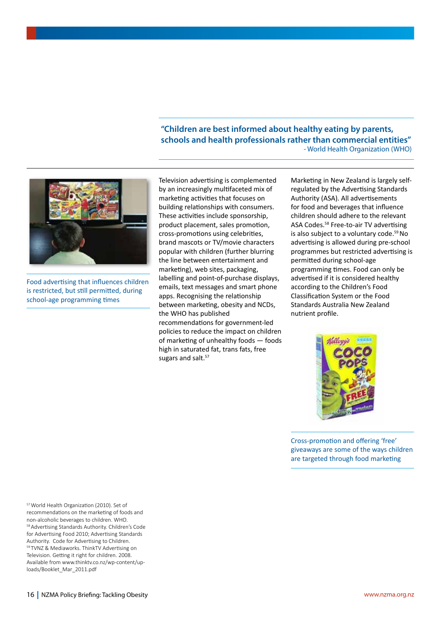**"Children are best informed about healthy eating by parents, schools and health professionals rather than commercial entities"** - World Health Organization (WHO)



Food advertising that influences children is restricted, but still permitted, during school-age programming times

Television advertising is complemented by an increasingly multifaceted mix of marketing activities that focuses on building relationships with consumers. These activities include sponsorship, product placement, sales promotion, cross-promotions using celebrities, brand mascots or TV/movie characters popular with children (further blurring the line between entertainment and marketing), web sites, packaging, labelling and point-of-purchase displays, emails, text messages and smart phone apps. Recognising the relationship between marketing, obesity and NCDs, the WHO has published recommendations for government-led policies to reduce the impact on children of marketing of unhealthy foods — foods high in saturated fat, trans fats, free sugars and salt.<sup>57</sup>

Marketing in New Zealand is largely selfregulated by the Advertising Standards Authority (ASA). All advertisements for food and beverages that influence children should adhere to the relevant ASA Codes.58 Free-to-air TV advertising is also subject to a voluntary code.<sup>59</sup> No advertising is allowed during pre-school programmes but restricted advertising is permitted during school-age programming times. Food can only be advertised if it is considered healthy according to the Children's Food Classification System or the Food Standards Australia New Zealand nutrient profile.



Cross-promotion and offering 'free' giveaways are some of the ways children are targeted through food marketing

57World Health Organization (2010). Set of recommendations on the marketing of foods and non-alcoholic beverages to children. WHO. 58 Advertising Standards Authority. Children's Code for Advertising Food 2010; Advertising Standards Authority. Code for Advertising to Children. <sup>59</sup> TVNZ & Mediaworks. ThinkTV Advertising on Television. Getting it right for children. 2008. Available from www.thinktv.co.nz/wp-content/uploads/Booklet\_Mar\_2011.pdf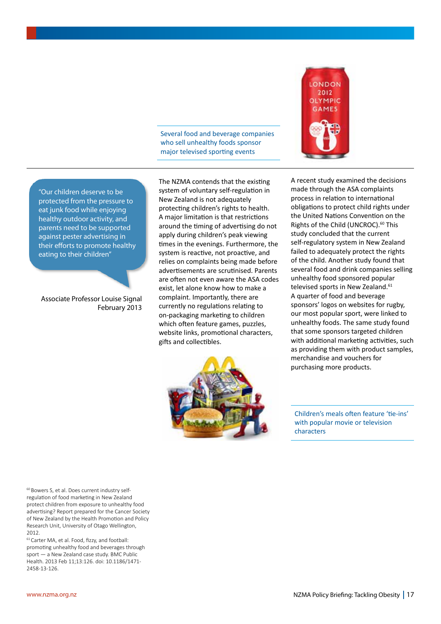Several food and beverage companies who sell unhealthy foods sponsor major televised sporting events



"Our children deserve to be protected from the pressure to eat junk food while enjoying healthy outdoor activity, and parents need to be supported against pester advertising in their efforts to promote healthy eating to their children"

Associate Professor Louise Signal February 2013 The NZMA contends that the existing system of voluntary self-regulation in New Zealand is not adequately protecting children's rights to health. A major limitation is that restrictions around the timing of advertising do not apply during children's peak viewing times in the evenings. Furthermore, the system is reactive, not proactive, and relies on complaints being made before advertisements are scrutinised. Parents are often not even aware the ASA codes exist, let alone know how to make a complaint. Importantly, there are currently no regulations relating to on-packaging marketing to children which often feature games, puzzles, website links, promotional characters, gifts and collectibles.



A recent study examined the decisions made through the ASA complaints process in relation to international obligations to protect child rights under the United Nations Convention on the Rights of the Child (UNCROC).<sup>60</sup> This study concluded that the current self-regulatory system in New Zealand failed to adequately protect the rights of the child. Another study found that several food and drink companies selling unhealthy food sponsored popular televised sports in New Zealand.<sup>61</sup> A quarter of food and beverage sponsors' logos on websites for rugby, our most popular sport, were linked to unhealthy foods. The same study found that some sponsors targeted children with additional marketing activities, such as providing them with product samples, merchandise and vouchers for purchasing more products.

Children's meals often feature 'tie-ins' with popular movie or television characters

<sup>60</sup> Bowers S, et al. Does current industry selfregulation of food marketing in New Zealand protect children from exposure to unhealthy food advertising? Report prepared for the Cancer Society of New Zealand by the Health Promotion and Policy Research Unit, University of Otago Wellington, 2012.

61Carter MA, et al. Food, fizzy, and football: promoting unhealthy food and beverages through sport — a New Zealand case study. BMC Public Health. 2013 Feb 11;13:126. doi: 10.1186/1471- 2458-13-126.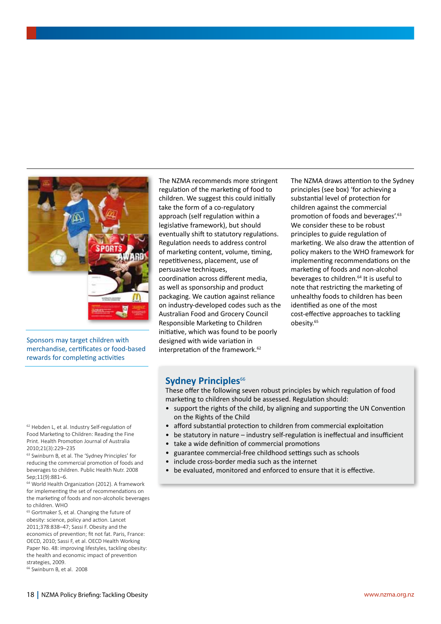

Sponsors may target children with merchandise, certificates or food-based rewards for completing activities

The NZMA recommends more stringent regulation of the marketing of food to children. We suggest this could initially take the form of a co-regulatory approach (self regulation within a legislative framework), but should eventually shift to statutory regulations. Regulation needs to address control of marketing content, volume, timing, repetitiveness, placement, use of persuasive techniques, coordination across different media, as well as sponsorship and product packaging. We caution against reliance on industry-developed codes such as the Australian Food and Grocery Council Responsible Marketing to Children initiative, which was found to be poorly designed with wide variation in interpretation of the framework.<sup>62</sup>

The NZMA draws attention to the Sydney principles (see box) 'for achieving a substantial level of protection for children against the commercial promotion of foods and beverages'.63 We consider these to be robust principles to guide regulation of marketing. We also draw the attention of policy makers to the WHO framework for implementing recommendations on the marketing of foods and non-alcohol beverages to children.<sup>64</sup> It is useful to note that restricting the marketing of unhealthy foods to children has been identified as one of the most cost-effective approaches to tackling obesity.65

### **Sydney Principles**<sup>66</sup>

These offer the following seven robust principles by which regulation of food marketing to children should be assessed. Regulation should:

- support the rights of the child, by aligning and supporting the UN Convention on the Rights of the Child
- afford substantial protection to children from commercial exploitation
- be statutory in nature industry self-regulation is ineffectual and insufficient
- take a wide definition of commercial promotions
- guarantee commercial-free childhood settings such as schools
- include cross-border media such as the internet
- be evaluated, monitored and enforced to ensure that it is effective.

<sup>62</sup> Hebden L, et al. Industry Self-regulation of Food Marketing to Children: Reading the Fine Print. Health Promotion Journal of Australia 2010;21(3):229–235

<sup>63</sup> Swinburn B, et al. The 'Sydney Principles' for reducing the commercial promotion of foods and beverages to children. Public Health Nutr. 2008 Sep;11(9):881–6.

<sup>64</sup> World Health Organization (2012). A framework for implementing the set of recommendations on the marketing of foods and non-alcoholic beverages to children. WHO

<sup>65</sup> Gortmaker S, et al. Changing the future of obesity: science, policy and action. Lancet 2011;378:838–47; Sassi F. Obesity and the economics of prevention; fit not fat. Paris, France: OECD, 2010; Sassi F, et al. OECD Health Working Paper No. 48: improving lifestyles, tackling obesity: the health and economic impact of prevention strategies, 2009.

<sup>66</sup> Swinburn B, et al. 2008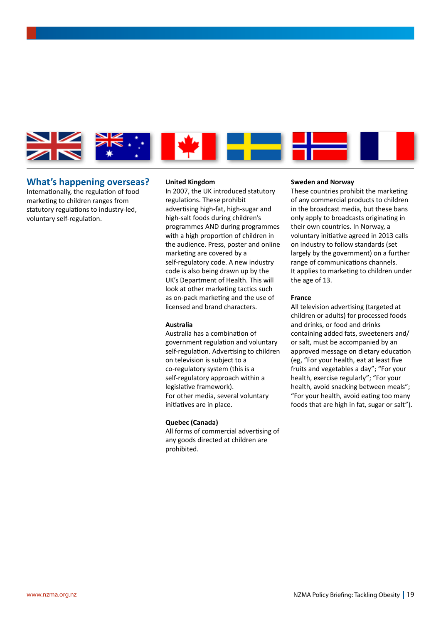

### **What's happening overseas?**

Internationally, the regulation of food marketing to children ranges from statutory regulations to industry-led, voluntary self-regulation.

#### **United Kingdom**

In 2007, the UK introduced statutory regulations. These prohibit advertising high-fat, high-sugar and high-salt foods during children's programmes AND during programmes with a high proportion of children in the audience. Press, poster and online marketing are covered by a self-regulatory code. A new industry code is also being drawn up by the UK's Department of Health. This will look at other marketing tactics such as on-pack marketing and the use of licensed and brand characters.

### **Australia**

Australia has a combination of government regulation and voluntary self-regulation. Advertising to children on television is subject to a co-regulatory system (this is a self-regulatory approach within a legislative framework). For other media, several voluntary initiatives are in place.

### **Quebec (Canada)**

All forms of commercial advertising of any goods directed at children are prohibited.

### **Sweden and Norway**

These countries prohibit the marketing of any commercial products to children in the broadcast media, but these bans only apply to broadcasts originating in their own countries. In Norway, a voluntary initiative agreed in 2013 calls on industry to follow standards (set largely by the government) on a further range of communications channels. It applies to marketing to children under the age of 13.

### **France**

All television advertising (targeted at children or adults) for processed foods and drinks, or food and drinks containing added fats, sweeteners and/ or salt, must be accompanied by an approved message on dietary education (eg, "For your health, eat at least five fruits and vegetables a day"; "For your health, exercise regularly"; "For your health, avoid snacking between meals"; "For your health, avoid eating too many foods that are high in fat, sugar or salt").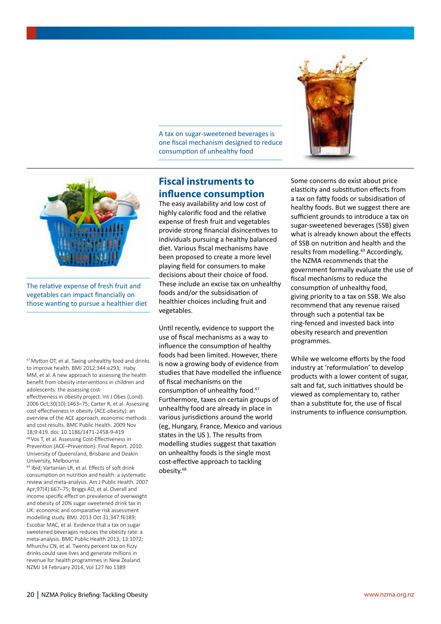A tax on sugar-sweetened beverages is one fiscal mechanism designed to reduce consumption of unhealthy food



The relative expense of fresh fruit and vegetables can impact financially on those wanting to pursue a healthier diet

67Mytton OT, et al. Taxing unhealthy food and drinks to improve health. BMJ 2012;344:e293; Haby MM, et al. A new approach to assessing the health benefit from obesity interventions in children and adolescents: the assessing cost-

effectiveness in obesity project. Int J Obes (Lond). 2006 Oct;30(10):1463–75; Carter R, et al. Assessing cost-effectiveness in obesity (ACE-obesity): an overview of the ACE approach, economic methods and cost results. BMC Public Health. 2009 Nov 18;9:419. doi: 10.1186/1471-2458-9-419 68Vos T, et al. Assessing Cost-Effectiveness in Prevention (ACE–Prevention): Final Report. 2010. University of Queensland, Brisbane and Deakin University, Melbourne.

<sup>69</sup> Ibid; Vartanian LR, et al. Effects of soft drink consumption on nutrition and health: a systematic review and meta-analysis. Am J Public Health. 2007 Apr;97(4):667–75; Briggs AD, et al. Overall and income specific effect on prevalence of overweight and obesity of 20% sugar sweetened drink tax in UK: economic and comparative risk assessment modelling study. BMJ. 2013 Oct 31;347:f6189; Escobar MAC, et al. Evidence that a tax on sugar sweetened beverages reduces the obesity rate: a meta-analysis. BMC Public Health 2013, 13:1072; Mhurchu CN, et al. Twenty percent tax on fizzy drinks could save lives and generate millions in revenue for health programmes in New Zealand. NZMJ 14 February 2014, Vol 127 No 1389

## **Fiscal instruments to influence consumption**

The easy availability and low cost of highly calorific food and the relative expense of fresh fruit and vegetables provide strong financial disincentives to individuals pursuing a healthy balanced diet. Various fiscal mechanisms have been proposed to create a more level playing field for consumers to make decisions about their choice of food. These include an excise tax on unhealthy foods and/or the subsidisation of healthier choices including fruit and vegetables.

Until recently, evidence to support the use of fiscal mechanisms as a way to influence the consumption of healthy foods had been limited. However, there is now a growing body of evidence from studies that have modelled the influence of fiscal mechanisms on the consumption of unhealthy food.67 Furthermore, taxes on certain groups of unhealthy food are already in place in various jurisdictions around the world (eg, Hungary, France, Mexico and various states in the US ). The results from modelling studies suggest that taxation on unhealthy foods is the single most cost-effective approach to tackling obesity.68



Some concerns do exist about price elasticity and substitution effects from a tax on fatty foods or subsidisation of healthy foods. But we suggest there are sufficient grounds to introduce a tax on sugar-sweetened beverages (SSB) given what is already known about the effects of SSB on nutrition and health and the results from modelling.<sup>69</sup> Accordingly, the NZMA recommends that the government formally evaluate the use of fiscal mechanisms to reduce the consumption of unhealthy food, giving priority to a tax on SSB. We also recommend that any revenue raised through such a potential tax be ring-fenced and invested back into obesity research and prevention programmes.

While we welcome efforts by the food industry at 'reformulation' to develop products with a lower content of sugar, salt and fat, such initiatives should be viewed as complementary to, rather than a substitute for, the use of fiscal instruments to influence consumption.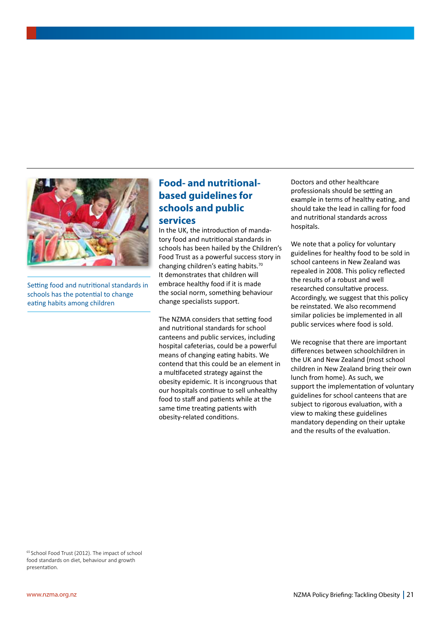

Setting food and nutritional standards in schools has the potential to change eating habits among children

## **Food- and nutritionalbased guidelines for schools and public services**

In the UK, the introduction of mandatory food and nutritional standards in schools has been hailed by the Children's Food Trust as a powerful success story in changing children's eating habits.70 It demonstrates that children will embrace healthy food if it is made the social norm, something behaviour change specialists support.

The NZMA considers that setting food and nutritional standards for school canteens and public services, including hospital cafeterias, could be a powerful means of changing eating habits. We contend that this could be an element in a multifaceted strategy against the obesity epidemic. It is incongruous that our hospitals continue to sell unhealthy food to staff and patients while at the same time treating patients with obesity-related conditions.

Doctors and other healthcare professionals should be setting an example in terms of healthy eating, and should take the lead in calling for food and nutritional standards across hospitals.

We note that a policy for voluntary guidelines for healthy food to be sold in school canteens in New Zealand was repealed in 2008. This policy reflected the results of a robust and well researched consultative process. Accordingly, we suggest that this policy be reinstated. We also recommend similar policies be implemented in all public services where food is sold.

We recognise that there are important differences between schoolchildren in the UK and New Zealand (most school children in New Zealand bring their own lunch from home). As such, we support the implementation of voluntary guidelines for school canteens that are subject to rigorous evaluation, with a view to making these guidelines mandatory depending on their uptake and the results of the evaluation.

<sup>65</sup> School Food Trust (2012). The impact of school food standards on diet, behaviour and growth presentation.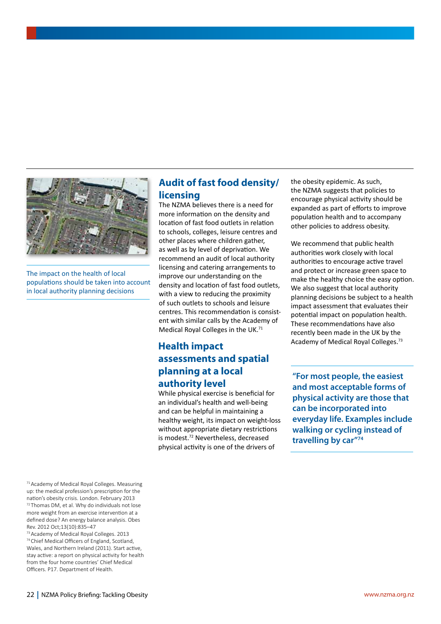

The impact on the health of local populations should be taken into account in local authority planning decisions

71Academy of Medical Royal Colleges. Measuring up: the medical profession's prescription for the nation's obesity crisis. London. February 2013 72 Thomas DM, et al. Why do individuals not lose more weight from an exercise intervention at a defined dose? An energy balance analysis. Obes Rev. 2012 Oct;13(10):835–47

73Academy of Medical Royal Colleges. 2013 74Chief Medical Officers of England, Scotland, Wales, and Northern Ireland (2011). Start active, stay active: a report on physical activity for health from the four home countries' Chief Medical Officers. P17. Department of Health.

## **Audit of fast food density/ licensing**

The NZMA believes there is a need for more information on the density and location of fast food outlets in relation to schools, colleges, leisure centres and other places where children gather, as well as by level of deprivation. We recommend an audit of local authority licensing and catering arrangements to improve our understanding on the density and location of fast food outlets, with a view to reducing the proximity of such outlets to schools and leisure centres. This recommendation is consistent with similar calls by the Academy of Medical Royal Colleges in the UK.71

## **Health impact assessments and spatial planning at a local authority level**

While physical exercise is beneficial for an individual's health and well-being and can be helpful in maintaining a healthy weight, its impact on weight-loss without appropriate dietary restrictions is modest.72 Nevertheless, decreased physical activity is one of the drivers of

the obesity epidemic. As such, the NZMA suggests that policies to encourage physical activity should be expanded as part of efforts to improve population health and to accompany other policies to address obesity.

We recommend that public health authorities work closely with local authorities to encourage active travel and protect or increase green space to make the healthy choice the easy option. We also suggest that local authority planning decisions be subject to a health impact assessment that evaluates their potential impact on population health. These recommendations have also recently been made in the UK by the Academy of Medical Royal Colleges.73

**"For most people, the easiest and most acceptable forms of physical activity are those that can be incorporated into everyday life. Examples include walking or cycling instead of travelling by car"74**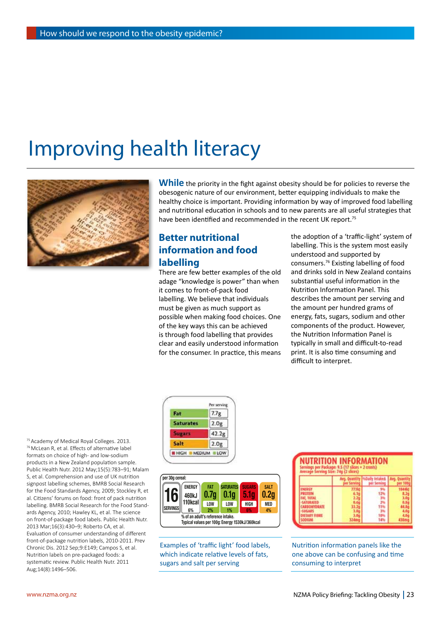# Improving health literacy



While the priority in the fight against obesity should be for policies to reverse the obesogenic nature of our environment, better equipping individuals to make the healthy choice is important. Providing information by way of improved food labelling and nutritional education in schools and to new parents are all useful strategies that have been identified and recommended in the recent UK report.<sup>75</sup>

## **Better nutritional information and food labelling**

There are few better examples of the old adage "knowledge is power" than when it comes to front-of-pack food labelling. We believe that individuals must be given as much support as possible when making food choices. One of the key ways this can be achieved is through food labelling that provides clear and easily understood information for the consumer. In practice, this means the adoption of a 'traffic-light' system of labelling. This is the system most easily understood and supported by consumers.76 Existing labelling of food and drinks sold in New Zealand contains substantial useful information in the Nutrition Information Panel. This describes the amount per serving and the amount per hundred grams of energy, fats, sugars, sodium and other components of the product. However, the Nutrition Information Panel is typically in small and difficult-to-read print. It is also time consuming and difficult to interpret.





Examples of 'traffic light' food labels, which indicate relative levels of fats, sugars and salt per serving

| NUTRITION INFORMATION<br>Servings per Package: 9.5 (17 slices + 2 crusts)<br>Avesage Serving Size: 74g (2 slices) |           |             |  |  |
|-------------------------------------------------------------------------------------------------------------------|-----------|-------------|--|--|
|                                                                                                                   | per Servi | ser Serving |  |  |
| <b>MFRGY</b>                                                                                                      |           |             |  |  |
|                                                                                                                   |           |             |  |  |
| <b>TURATED</b>                                                                                                    |           |             |  |  |
| <b>BOHYDRAIT</b><br><b>ZBAGARS</b>                                                                                |           |             |  |  |
| EV FINNST                                                                                                         |           |             |  |  |
|                                                                                                                   |           |             |  |  |

Nutrition information panels like the one above can be confusing and time consuming to interpret

75Academy of Medical Royal Colleges. 2013. 76McLean R, et al. Effects of alternative label formats on choice of high- and low-sodium products in a New Zealand population sample. Public Health Nutr. 2012 May;15(5):783–91; Malam S, et al. Comprehension and use of UK nutrition signpost labelling schemes, BMRB Social Research for the Food Standards Agency, 2009; Stockley R, et al. Citizens' forums on food: front of pack nutrition labelling. BMRB Social Research for the Food Standards Agency, 2010; Hawley KL, et al. The science on front-of-package food labels. Public Health Nutr. 2013 Mar;16(3):430–9; Roberto CA, et al. Evaluation of consumer understanding of different front-of-package nutrition labels, 2010-2011. Prev Chronic Dis. 2012 Sep;9:E149; Campos S, et al. Nutrition labels on pre-packaged foods: a systematic review. Public Health Nutr. 2011 Aug;14(8):1496–506.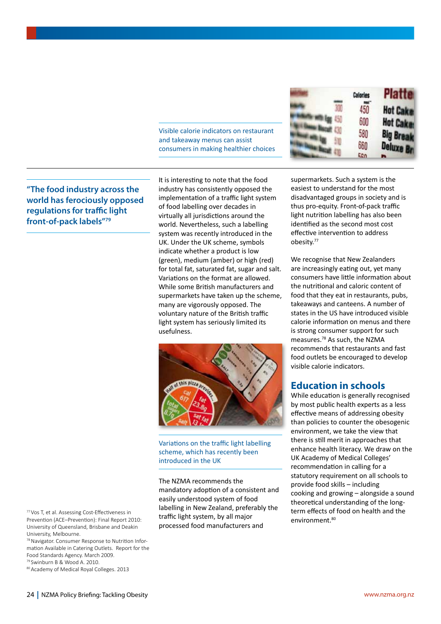Visible calorie indicators on restaurant and takeaway menus can assist consumers in making healthier choices

| Calories | <b>Platte</b>    |
|----------|------------------|
| 450      | <b>Hot Cake</b>  |
| 600      | <b>Hot Cake</b>  |
| 580      | <b>Big Break</b> |
| 660      | Deluxe Br        |
| 560      |                  |

**"The food industry across the world has ferociously opposed regulations for traffic light front-of-pack labels"79**

It is interesting to note that the food industry has consistently opposed the implementation of a traffic light system of food labelling over decades in virtually all jurisdictions around the world. Nevertheless, such a labelling system was recently introduced in the UK. Under the UK scheme, symbols indicate whether a product is low (green), medium (amber) or high (red) for total fat, saturated fat, sugar and salt. Variations on the format are allowed. While some British manufacturers and supermarkets have taken up the scheme, many are vigorously opposed. The voluntary nature of the British traffic light system has seriously limited its usefulness.



Variations on the traffic light labelling scheme, which has recently been introduced in the UK

The NZMA recommends the mandatory adoption of a consistent and easily understood system of food labelling in New Zealand, preferably the traffic light system, by all major processed food manufacturers and

supermarkets. Such a system is the easiest to understand for the most disadvantaged groups in society and is thus pro-equity. Front-of-pack traffic light nutrition labelling has also been identified as the second most cost effective intervention to address obesity.77

We recognise that New Zealanders are increasingly eating out, yet many consumers have little information about the nutritional and caloric content of food that they eat in restaurants, pubs, takeaways and canteens. A number of states in the US have introduced visible calorie information on menus and there is strong consumer support for such measures.78 As such, the NZMA recommends that restaurants and fast food outlets be encouraged to develop visible calorie indicators.

## **Education in schools**

While education is generally recognised by most public health experts as a less effective means of addressing obesity than policies to counter the obesogenic environment, we take the view that there is still merit in approaches that enhance health literacy. We draw on the UK Academy of Medical Colleges' recommendation in calling for a statutory requirement on all schools to provide food skills – including cooking and growing – alongside a sound theoretical understanding of the longterm effects of food on health and the environment.<sup>80</sup>

77Vos T, et al. Assessing Cost-Effectiveness in Prevention (ACE–Prevention): Final Report 2010: University of Queensland, Brisbane and Deakin University, Melbourne.

78Navigator. Consumer Response to Nutrition Information Available in Catering Outlets. Report for the Food Standards Agency. March 2009.

<sup>79</sup> Swinburn B & Wood A. 2010.

80Academy of Medical Royal Colleges. 2013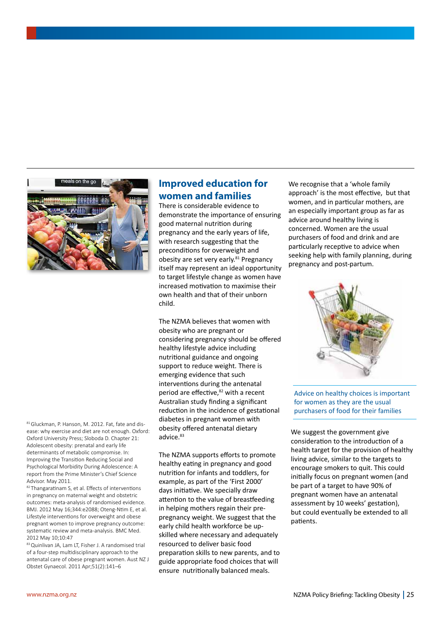

81 Gluckman, P. Hanson, M. 2012. Fat, fate and disease: why exercise and diet are not enough. Oxford: Oxford University Press; Sloboda D. Chapter 21: Adolescent obesity: prenatal and early life determinants of metabolic compromise. In: Improving the Transition Reducing Social and Psychological Morbidity During Adolescence: A report from the Prime Minister's Chief Science Advisor. May 2011.

82 Thangaratinam S, et al. Effects of interventions in pregnancy on maternal weight and obstetric outcomes: meta-analysis of randomised evidence. BMJ. 2012 May 16;344:e2088; Oteng-Ntim E, et al. Lifestyle interventions for overweight and obese pregnant women to improve pregnancy outcome: systematic review and meta-analysis. BMC Med. 2012 May 10;10:47

83 Quinlivan JA, Lam LT, Fisher J. A randomised trial of a four-step multidisciplinary approach to the antenatal care of obese pregnant women. Aust NZ J Obstet Gynaecol. 2011 Apr;51(2):141–6

## **Improved education for women and families**

There is considerable evidence to demonstrate the importance of ensuring good maternal nutrition during pregnancy and the early years of life, with research suggesting that the preconditions for overweight and obesity are set very early.<sup>81</sup> Pregnancy itself may represent an ideal opportunity to target lifestyle change as women have increased motivation to maximise their own health and that of their unborn child.

The NZMA believes that women with obesity who are pregnant or considering pregnancy should be offered healthy lifestyle advice including nutritional guidance and ongoing support to reduce weight. There is emerging evidence that such interventions during the antenatal period are effective,<sup>82</sup> with a recent Australian study finding a significant reduction in the incidence of gestational diabetes in pregnant women with obesity offered antenatal dietary advice.<sup>83</sup>

The NZMA supports efforts to promote healthy eating in pregnancy and good nutrition for infants and toddlers, for example, as part of the 'First 2000' days initiative. We specially draw attention to the value of breastfeeding in helping mothers regain their prepregnancy weight. We suggest that the early child health workforce be upskilled where necessary and adequately resourced to deliver basic food preparation skills to new parents, and to guide appropriate food choices that will ensure nutritionally balanced meals.

We recognise that a 'whole family approach' is the most effective, but that women, and in particular mothers, are an especially important group as far as advice around healthy living is concerned. Women are the usual purchasers of food and drink and are particularly receptive to advice when seeking help with family planning, during pregnancy and post-partum.



Advice on healthy choices is important for women as they are the usual purchasers of food for their families

We suggest the government give consideration to the introduction of a health target for the provision of healthy living advice, similar to the targets to encourage smokers to quit. This could initially focus on pregnant women (and be part of a target to have 90% of pregnant women have an antenatal assessment by 10 weeks' gestation), but could eventually be extended to all patients.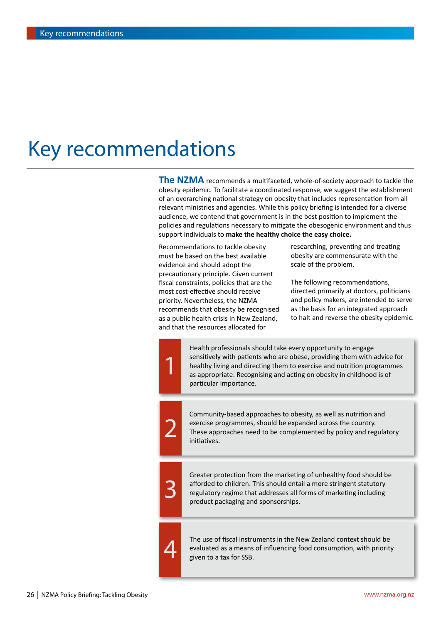## Key recommendations

**The NZMA** recommends a multifaceted, whole-of-society approach to tackle the obesity epidemic. To facilitate a coordinated response, we suggest the establishment of an overarching national strategy on obesity that includes representation from all relevant ministries and agencies. While this policy briefing is intended for a diverse audience, we contend that government is in the best position to implement the policies and regulations necessary to mitigate the obesogenic environment and thus support individuals to **make the healthy choice the easy choice.**

Recommendations to tackle obesity must be based on the best available evidence and should adopt the precautionary principle. Given current fiscal constraints, policies that are the most cost-effective should receive priority. Nevertheless, the NZMA recommends that obesity be recognised as a public health crisis in New Zealand, and that the resources allocated for

1

2

3

4

researching, preventing and treating obesity are commensurate with the scale of the problem.

The following recommendations, directed primarily at doctors, politicians and policy makers, are intended to serve as the basis for an integrated approach to halt and reverse the obesity epidemic.

Health professionals should take every opportunity to engage sensitively with patients who are obese, providing them with advice for healthy living and directing them to exercise and nutrition programmes as appropriate. Recognising and acting on obesity in childhood is of particular importance.

Community-based approaches to obesity, as well as nutrition and exercise programmes, should be expanded across the country. These approaches need to be complemented by policy and regulatory initiatives.

Greater protection from the marketing of unhealthy food should be afforded to children. This should entail a more stringent statutory regulatory regime that addresses all forms of marketing including product packaging and sponsorships.

The use of fiscal instruments in the New Zealand context should be evaluated as a means of influencing food consumption, with priority given to a tax for SSB.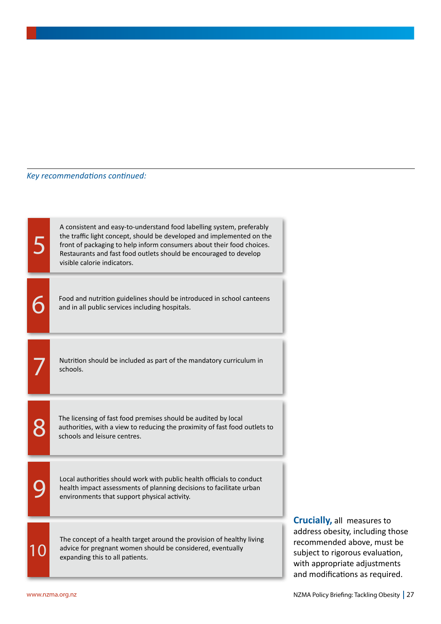### *Key recommendations continued:*

5 6 7 8  $\mathbf Q$ 10 A consistent and easy-to-understand food labelling system, preferably the traffic light concept, should be developed and implemented on the front of packaging to help inform consumers about their food choices. Restaurants and fast food outlets should be encouraged to develop visible calorie indicators. Food and nutrition guidelines should be introduced in school canteens and in all public services including hospitals. Nutrition should be included as part of the mandatory curriculum in schools. The licensing of fast food premises should be audited by local authorities, with a view to reducing the proximity of fast food outlets to schools and leisure centres. Local authorities should work with public health officials to conduct health impact assessments of planning decisions to facilitate urban environments that support physical activity. The concept of a health target around the provision of healthy living advice for pregnant women should be considered, eventually expanding this to all patients.

**Crucially,** all measures to address obesity, including those recommended above, must be subject to rigorous evaluation, with appropriate adjustments and modifications as required.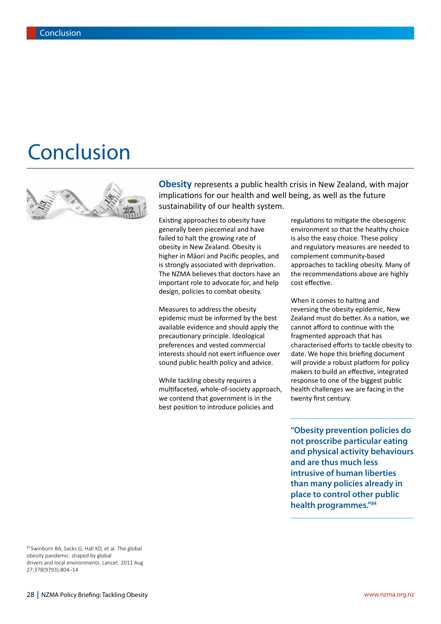## Conclusion



**Obesity** represents a public health crisis in New Zealand, with major implications for our health and well being, as well as the future sustainability of our health system.

Existing approaches to obesity have generally been piecemeal and have failed to halt the growing rate of obesity in New Zealand. Obesity is higher in Māori and Pacific peoples, and is strongly associated with deprivation. The NZMA believes that doctors have an important role to advocate for, and help design, policies to combat obesity.

Measures to address the obesity epidemic must be informed by the best available evidence and should apply the precautionary principle. Ideological preferences and vested commercial interests should not exert influence over sound public health policy and advice.

While tackling obesity requires a multifaceted, whole-of-society approach, we contend that government is in the best position to introduce policies and

regulations to mitigate the obesogenic environment so that the healthy choice is also the easy choice. These policy and regulatory measures are needed to complement community-based approaches to tackling obesity. Many of the recommendations above are highly cost effective.

When it comes to halting and reversing the obesity epidemic, New Zealand must do better. As a nation, we cannot afford to continue with the fragmented approach that has characterised efforts to tackle obesity to date. We hope this briefing document will provide a robust platform for policy makers to build an effective, integrated response to one of the biggest public health challenges we are facing in the twenty first century.

**"Obesity prevention policies do not proscribe particular eating and physical activity behaviours and are thus much less intrusive of human liberties than many policies already in place to control other public health programmes."84**

84 Swinburn BA, Sacks G, Hall KD, et al. The global obesity pandemic: shaped by global drivers and local environments. Lancet. 2011 Aug 27;378(9793):804–14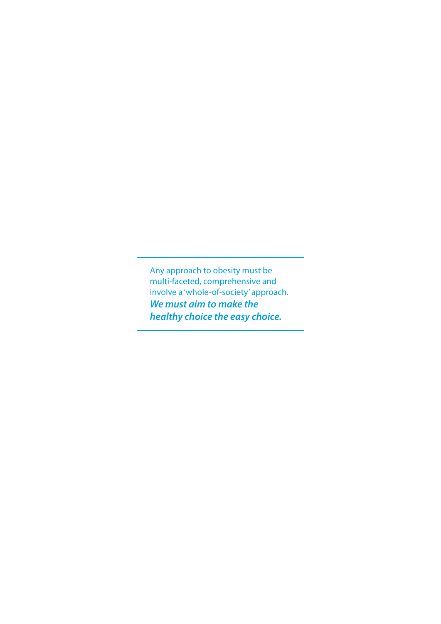Any approach to obesity must be multi-faceted, comprehensive and involve a 'whole-of-society' approach. *We must aim to make the healthy choice the easy choice.*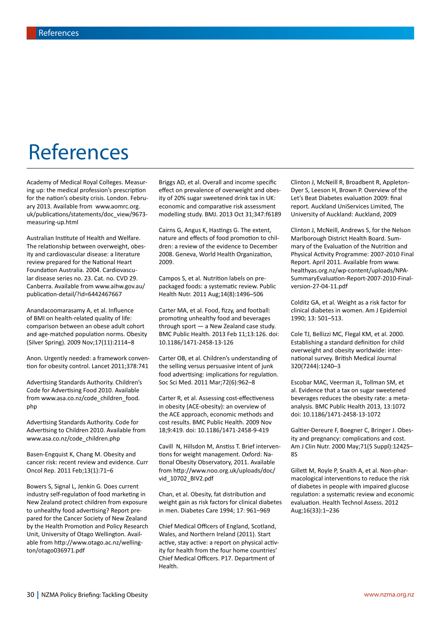# References

Academy of Medical Royal Colleges. Measuring up: the medical profession's prescription for the nation's obesity crisis. London. February 2013. Available from www.aomrc.org. uk/publications/statements/doc\_view/9673 measuring-up.html

Australian Institute of Health and Welfare. The relationship between overweight, obesity and cardiovascular disease: a literature review prepared for the National Heart Foundation Australia. 2004. Cardiovascular disease series no. 23. Cat. no. CVD 29. Canberra. Available from www.aihw.gov.au/ publication-detail/?id=6442467667

Anandacoomarasamy A, et al. Influence of BMI on health-related quality of life: comparison between an obese adult cohort and age-matched population norms. Obesity (Silver Spring). 2009 Nov;17(11):2114–8

Anon. Urgently needed: a framework convention for obesity control. Lancet 2011;378:741

Advertising Standards Authority. Children's Code for Advertising Food 2010. Available from www.asa.co.nz/code\_children\_food. php

Advertising Standards Authority. Code for Advertising to Children 2010. Available from www.asa.co.nz/code\_children.php

Basen-Engquist K, Chang M. Obesity and cancer risk: recent review and evidence. Curr Oncol Rep. 2011 Feb;13(1):71–6

Bowers S, Signal L, Jenkin G. Does current industry self-regulation of food marketing in New Zealand protect children from exposure to unhealthy food advertising? Report prepared for the Cancer Society of New Zealand by the Health Promotion and Policy Research Unit, University of Otago Wellington. Available from http://www.otago.ac.nz/wellington/otago036971.pdf

Briggs AD, et al. Overall and income specific effect on prevalence of overweight and obesity of 20% sugar sweetened drink tax in UK: economic and comparative risk assessment modelling study. BMJ. 2013 Oct 31;347:f6189

Cairns G, Angus K, Hastings G. The extent, nature and effects of food promotion to children: a review of the evidence to December 2008. Geneva, World Health Organization, 2009.

Campos S, et al. Nutrition labels on prepackaged foods: a systematic review. Public Health Nutr. 2011 Aug;14(8):1496–506

Carter MA, et al. Food, fizzy, and football: promoting unhealthy food and beverages through sport — a New Zealand case study. BMC Public Health. 2013 Feb 11;13:126. doi: 10.1186/1471-2458-13-126

Carter OB, et al. Children's understanding of the selling versus persuasive intent of junk food advertising: implications for regulation. Soc Sci Med. 2011 Mar;72(6):962–8

Carter R, et al. Assessing cost-effectiveness in obesity (ACE-obesity): an overview of the ACE approach, economic methods and cost results. BMC Public Health. 2009 Nov 18;9:419. doi: 10.1186/1471-2458-9-419

Cavill N, Hillsdon M, Anstiss T. Brief interventions for weight management. Oxford: National Obesity Observatory, 2011. Available from http://www.noo.org.uk/uploads/doc/ vid\_10702\_BIV2.pdf

Chan, et al. Obesity, fat distribution and weight gain as risk factors for clinical diabetes in men. Diabetes Care 1994; 17: 961–969

Chief Medical Officers of England, Scotland, Wales, and Northern Ireland (2011). Start active, stay active: a report on physical activity for health from the four home countries' Chief Medical Officers. P17. Department of Health.

Clinton J, McNeill R, Broadbent R, Appleton-Dyer S, Leeson H, Brown P. Overview of the Let's Beat Diabetes evaluation 2009: final report. Auckland UniServices Limited, The University of Auckland: Auckland, 2009

Clinton J, McNeill, Andrews S, for the Nelson Marlborough District Health Board. Summary of the Evaluation of the Nutrition and Physical Activity Programme: 2007-2010 Final Report. April 2011. Available from www. healthyas.org.nz/wp-content/uploads/NPA-SummaryEvaluation-Report-2007-2010-Finalversion-27-04-11.pdf

Colditz GA, et al. Weight as a risk factor for clinical diabetes in women. Am J Epidemiol 1990; 13: 501–513.

Cole TJ, Bellizzi MC, Flegal KM, et al. 2000. Establishing a standard definition for child overweight and obesity worldwide: international survey. British Medical Journal 320(7244):1240–3

Escobar MAC, Veerman JL, Tollman SM, et al. Evidence that a tax on sugar sweetened beverages reduces the obesity rate: a metaanalysis. BMC Public Health 2013, 13:1072 doi: 10.1186/1471-2458-13-1072

Galtier-Dereure F, Boegner C, Bringer J. Obesity and pregnancy: complications and cost. Am J Clin Nutr. 2000 May;71(5 Suppl):1242S– 8S

Gillett M, Royle P, Snaith A, et al. Non-pharmacological interventions to reduce the risk of diabetes in people with impaired glucose regulation: a systematic review and economic evaluation. Health Technol Assess. 2012 Aug;16(33):1–236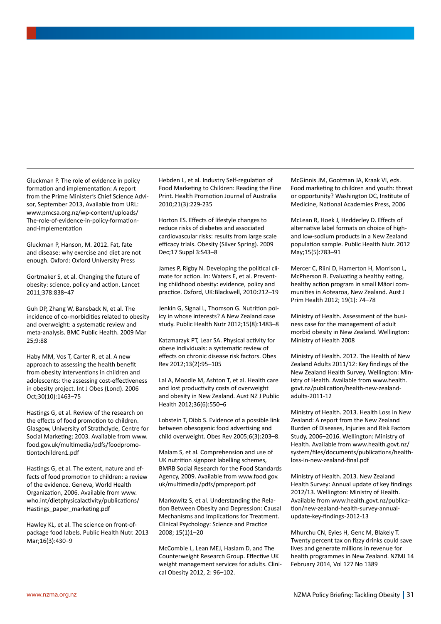Gluckman P. The role of evidence in policy formation and implementation: A report from the Prime Minister's Chief Science Advisor, September 2013, Available from URL: www.pmcsa.org.nz/wp-content/uploads/ The-role-of-evidence-in-policy-formationand-implementation

Gluckman P, Hanson, M. 2012. Fat, fate and disease: why exercise and diet are not enough. Oxford: Oxford University Press

Gortmaker S, et al. Changing the future of obesity: science, policy and action. Lancet 2011;378:838–47

Guh DP, Zhang W, Bansback N, et al. The incidence of co-morbidities related to obesity and overweight: a systematic review and meta-analysis. BMC Public Health. 2009 Mar 25;9:88

Haby MM, Vos T, Carter R, et al. A new approach to assessing the health benefit from obesity interventions in children and adolescents: the assessing cost-effectiveness in obesity project. Int J Obes (Lond). 2006 Oct;30(10):1463–75

Hastings G, et al. Review of the research on the effects of food promotion to children. Glasgow, University of Strathclyde, Centre for Social Marketing; 2003. Available from www. food.gov.uk/multimedia/pdfs/foodpromotiontochildren1.pdf

Hastings G, et al. The extent, nature and effects of food promotion to children: a review of the evidence. Geneva, World Health Organization, 2006. Available from www. who.int/dietphysicalactivity/publications/ Hastings\_paper\_marketing.pdf

Hawley KL, et al. The science on front-ofpackage food labels. Public Health Nutr. 2013 Mar;16(3):430–9

Hebden L, et al. Industry Self-regulation of Food Marketing to Children: Reading the Fine Print. Health Promotion Journal of Australia 2010;21(3):229-235

Horton ES. Effects of lifestyle changes to reduce risks of diabetes and associated cardiovascular risks: results from large scale efficacy trials. Obesity (Silver Spring). 2009 Dec;17 Suppl 3:S43–8

James P, Rigby N. Developing the political climate for action. In: Waters E, et al. Preventing childhood obesity: evidence, policy and practice. Oxford, UK:Blackwell, 2010:212–19

Jenkin G, Signal L, Thomson G. Nutrition policy in whose interests? A New Zealand case study. Public Health Nutr 2012;15(8):1483–8

Katzmarzyk PT, Lear SA. Physical activity for obese individuals: a systematic review of effects on chronic disease risk factors. Obes Rev 2012;13(2):95–105

Lal A, Moodie M, Ashton T, et al. Health care and lost productivity costs of overweight and obesity in New Zealand. Aust NZ J Public Health 2012;36(6):550–6

Lobstein T, Dibb S. Evidence of a possible link between obesogenic food advertising and child overweight. Obes Rev 2005;6(3):203–8.

Malam S, et al. Comprehension and use of UK nutrition signpost labelling schemes, BMRB Social Research for the Food Standards Agency, 2009. Available from www.food.gov. uk/multimedia/pdfs/pmpreport.pdf

Markowitz S, et al. Understanding the Relation Between Obesity and Depression: Causal Mechanisms and Implications for Treatment. Clinical Psychology: Science and Practice 2008; 15(1)1–20

McCombie L, Lean MEJ, Haslam D, and The Counterweight Research Group. Effective UK weight management services for adults. Clinical Obesity 2012, 2: 96–102.

McGinnis JM, Gootman JA, Kraak VI, eds. Food marketing to children and youth: threat or opportunity? Washington DC, Institute of Medicine, National Academies Press, 2006

McLean R, Hoek J, Hedderley D. Effects of alternative label formats on choice of highand low-sodium products in a New Zealand population sample. Public Health Nutr. 2012 May;15(5):783–91

Mercer C, Riini D, Hamerton H, Morrison L, McPherson B. Evaluating a healthy eating, healthy action program in small Māori communities in Aotearoa, New Zealand. Aust J Prim Health 2012; 19(1): 74–78

Ministry of Health. Assessment of the business case for the management of adult morbid obesity in New Zealand. Wellington: Ministry of Health 2008

Ministry of Health. 2012. The Health of New Zealand Adults 2011/12: Key findings of the New Zealand Health Survey. Wellington: Ministry of Health. Available from www.health. govt.nz/publication/health-new-zealandadults-2011-12

Ministry of Health. 2013. Health Loss in New Zealand: A report from the New Zealand Burden of Diseases, Injuries and Risk Factors Study, 2006–2016. Wellington: Ministry of Health. Available from www.health.govt.nz/ system/files/documents/publications/healthloss-in-new-zealand-final.pdf

Ministry of Health. 2013. New Zealand Health Survey: Annual update of key findings 2012/13. Wellington: Ministry of Health. Available from www.health.govt.nz/publication/new-zealand-health-survey-annualupdate-key-findings-2012-13

Mhurchu CN, Eyles H, Genc M, Blakely T. Twenty percent tax on fizzy drinks could save lives and generate millions in revenue for health programmes in New Zealand. NZMJ 14 February 2014, Vol 127 No 1389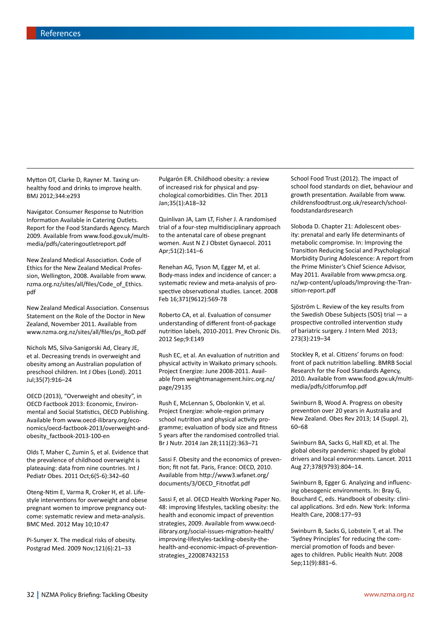Mytton OT, Clarke D, Rayner M. Taxing unhealthy food and drinks to improve health. BMJ 2012;344:e293

Navigator. Consumer Response to Nutrition Information Available in Catering Outlets. Report for the Food Standards Agency. March 2009. Available from www.food.gov.uk/multimedia/pdfs/cateringoutletreport.pdf

New Zealand Medical Association. Code of Ethics for the New Zealand Medical Profession, Wellington, 2008. Available from www. nzma.org.nz/sites/all/files/Code\_of\_Ethics. pdf

New Zealand Medical Association. Consensus Statement on the Role of the Doctor in New Zealand, November 2011. Available from www.nzma.org.nz/sites/all/files/ps\_RoD.pdf

Nichols MS, Silva-Sanigorski Ad, Cleary JE, et al. Decreasing trends in overweight and obesity among an Australian population of preschool children. Int J Obes (Lond). 2011 Jul;35(7):916–24

OECD (2013), "Overweight and obesity", in OECD Factbook 2013: Economic, Environmental and Social Statistics, OECD Publishing. Available from www.oecd-ilibrary.org/economics/oecd-factbook-2013/overweight-andobesity\_factbook-2013-100-en

Olds T, Maher C, Zumin S, et al. Evidence that the prevalence of childhood overweight is plateauing: data from nine countries. Int J Pediatr Obes. 2011 Oct;6(5-6):342–60

Oteng-Ntim E, Varma R, Croker H, et al. Lifestyle interventions for overweight and obese pregnant women to improve pregnancy outcome: systematic review and meta-analysis. BMC Med. 2012 May 10;10:47

Pi-Sunyer X. The medical risks of obesity. Postgrad Med. 2009 Nov;121(6):21–33

Pulgarón ER. Childhood obesity: a review of increased risk for physical and psychological comorbidities. Clin Ther. 2013 Jan;35(1):A18–32

Quinlivan JA, Lam LT, Fisher J. A randomised trial of a four-step multidisciplinary approach to the antenatal care of obese pregnant women. Aust N Z J Obstet Gynaecol. 2011 Apr;51(2):141–6

Renehan AG, Tyson M, Egger M, et al. Body-mass index and incidence of cancer: a systematic review and meta-analysis of prospective observational studies. Lancet. 2008 Feb 16;371(9612):569-78

Roberto CA, et al. Evaluation of consumer understanding of different front-of-package nutrition labels, 2010-2011. Prev Chronic Dis. 2012 Sep;9:E149

Rush EC, et al. An evaluation of nutrition and physical activity in Waikato primary schools. Project Energize: June 2008-2011. Available from weightmanagement.hiirc.org.nz/ page/29135

Rush E, McLennan S, Obolonkin V, et al. Project Energize: whole-region primary school nutrition and physical activity programme; evaluation of body size and fitness 5 years after the randomised controlled trial. Br J Nutr. 2014 Jan 28;111(2):363–71

Sassi F. Obesity and the economics of prevention; fit not fat. Paris, France: OECD, 2010. Available from http://www3.wfanet.org/ documents/3/OECD\_Fitnotfat.pdf

Sassi F, et al. OECD Health Working Paper No. 48: improving lifestyles, tackling obesity: the health and economic impact of prevention strategies, 2009. Available from www.oecdilibrary.org/social-issues-migration-health/ improving-lifestyles-tackling-obesity-thehealth-and-economic-impact-of-preventionstrategies\_220087432153

School Food Trust (2012). The impact of school food standards on diet, behaviour and growth presentation. Available from www. childrensfoodtrust.org.uk/research/schoolfoodstandardsresearch

Sloboda D. Chapter 21: Adolescent obesity: prenatal and early life determinants of metabolic compromise. In: Improving the Transition Reducing Social and Psychological Morbidity During Adolescence: A report from the Prime Minister's Chief Science Advisor, May 2011. Available from www.pmcsa.org. nz/wp-content/uploads/Improving-the-Transition-report.pdf

Sjöström L. Review of the key results from the Swedish Obese Subjects (SOS) trial — a prospective controlled intervention study of bariatric surgery. J Intern Med 2013; 273(3):219–34

Stockley R, et al. Citizens' forums on food: front of pack nutrition labelling. BMRB Social Research for the Food Standards Agency, 2010. Available from www.food.gov.uk/multimedia/pdfs/citforumfop.pdf

Swinburn B, Wood A. Progress on obesity prevention over 20 years in Australia and New Zealand. Obes Rev 2013; 14 (Suppl. 2), 60–68

Swinburn BA, Sacks G, Hall KD, et al. The global obesity pandemic: shaped by global drivers and local environments. Lancet. 2011 Aug 27;378(9793):804–14.

Swinburn B, Egger G. Analyzing and influencing obesogenic environments. In: Bray G, Bouchard C, eds. Handbook of obesity: clinical applications. 3rd edn. New York: Informa Health Care, 2008:177–93

Swinburn B, Sacks G, Lobstein T, et al. The 'Sydney Principles' for reducing the commercial promotion of foods and beverages to children. Public Health Nutr. 2008 Sep;11(9):881–6.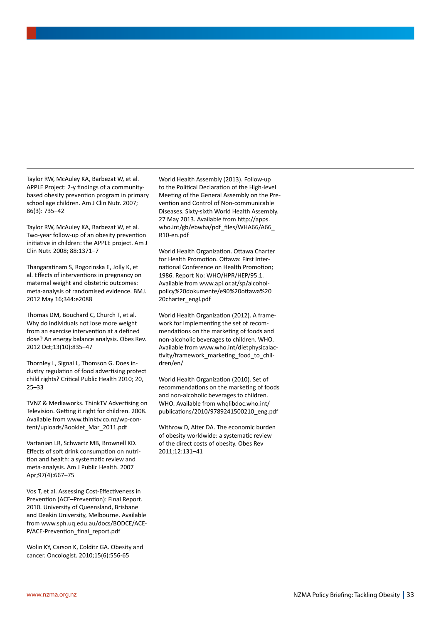Taylor RW, McAuley KA, Barbezat W, et al. APPLE Project: 2-y findings of a communitybased obesity prevention program in primary school age children. Am J Clin Nutr. 2007; 86(3): 735–42

Taylor RW, McAuley KA, Barbezat W, et al. Two-year follow-up of an obesity prevention initiative in children: the APPLE project. Am J Clin Nutr. 2008; 88:1371–7

Thangaratinam S, Rogozinska E, Jolly K, et al. Effects of interventions in pregnancy on maternal weight and obstetric outcomes: meta-analysis of randomised evidence. BMJ. 2012 May 16;344:e2088

Thomas DM, Bouchard C, Church T, et al. Why do individuals not lose more weight from an exercise intervention at a defined dose? An energy balance analysis. Obes Rev. 2012 Oct;13(10):835–47

Thornley L, Signal L, Thomson G. Does industry regulation of food advertising protect child rights? Critical Public Health 2010; 20, 25–33

TVNZ & Mediaworks. ThinkTV Advertising on Television. Getting it right for children. 2008. Available from www.thinktv.co.nz/wp-content/uploads/Booklet\_Mar\_2011.pdf

Vartanian LR, Schwartz MB, Brownell KD. Effects of soft drink consumption on nutrition and health: a systematic review and meta-analysis. Am J Public Health. 2007 Apr;97(4):667–75

Vos T, et al. Assessing Cost-Effectiveness in Prevention (ACE–Prevention): Final Report. 2010. University of Queensland, Brisbane and Deakin University, Melbourne. Available from www.sph.uq.edu.au/docs/BODCE/ACE-P/ACE-Prevention\_final\_report.pdf

Wolin KY, Carson K, Colditz GA. Obesity and cancer. Oncologist. 2010;15(6):556-65

World Health Assembly (2013). Follow-up to the Political Declaration of the High-level Meeting of the General Assembly on the Prevention and Control of Non-communicable Diseases. Sixty-sixth World Health Assembly. 27 May 2013. Available from http://apps. who.int/gb/ebwha/pdf\_files/WHA66/A66\_ R10-en.pdf

World Health Organization. Ottawa Charter for Health Promotion. Ottawa: First International Conference on Health Promotion; 1986. Report No: WHO/HPR/HEP/95.1. Available from www.api.or.at/sp/alcoholpolicy%20dokumente/e90%20ottawa%20 20charter\_engl.pdf

World Health Organization (2012). A framework for implementing the set of recommendations on the marketing of foods and non-alcoholic beverages to children. WHO. Available from www.who.int/dietphysicalactivity/framework\_marketing\_food\_to\_children/en/

World Health Organization (2010). Set of recommendations on the marketing of foods and non-alcoholic beverages to children. WHO. Available from whqlibdoc.who.int/ publications/2010/9789241500210\_eng.pdf

Withrow D, Alter DA. The economic burden of obesity worldwide: a systematic review of the direct costs of obesity. Obes Rev 2011;12:131–41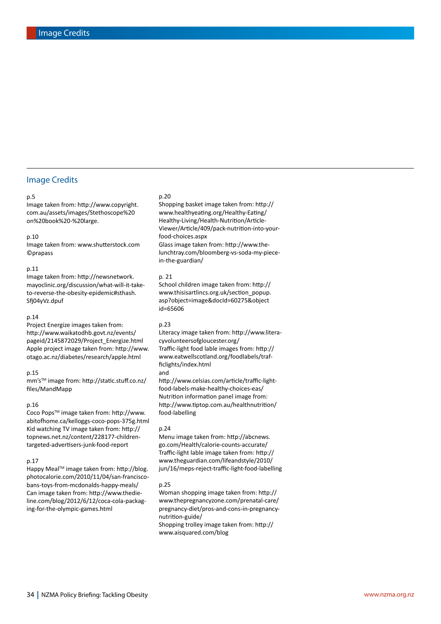### Image Credits

#### p.5

Image taken from: http://www.copyright. com.au/assets/images/Stethoscope%20 on%20book%20-%20large.

#### p.10

Image taken from: www.shutterstock.com ©prapass

#### p.11

Image taken from: http://newsnetwork. mayoclinic.org/discussion/what-will-it-taketo-reverse-the-obesity-epidemic#sthash. Sfj04yVz.dpuf

#### p.14

Project Energize images taken from: http://www.waikatodhb.govt.nz/events/ pageid/2145872029/Project\_Energize.html Apple project image taken from: http://www. otago.ac.nz/diabetes/research/apple.html

#### p.15

mm'sTM image from: http://static.stuff.co.nz/ files/MandMapp

#### p.16

Coco Pops™ image taken from: http://www. abitofhome.ca/kelloggs-coco-pops-375g.html Kid watching TV image taken from: http:// topnews.net.nz/content/228177-childrentargeted-advertisers-junk-food-report

#### p.17

Happy MealTM image taken from: http://blog. photocalorie.com/2010/11/04/san-franciscobans-toys-from-mcdonalds-happy-meals/ Can image taken from: http://www.thedieline.com/blog/2012/6/12/coca-cola-packaging-for-the-olympic-games.html

#### p.20

Shopping basket image taken from: http:// www.healthyeating.org/Healthy-Eating/ Healthy-Living/Health-Nutrition/Article-Viewer/Article/409/pack-nutrition-into-yourfood-choices.aspx Glass image taken from: http://www.thelunchtray.com/bloomberg-vs-soda-my-piecein-the-guardian/

#### p. 21

School children image taken from: http:// www.thisisartlincs.org.uk/section\_popup. asp?object=image&docId=60275&object id=65606

#### p.23

Literacy image taken from: http://www.literacyvolunteersofgloucester.org/ Traffic-light food lable images from: http:// www.eatwellscotland.org/foodlabels/trafficlights/index.html and

http://www.celsias.com/article/traffic-lightfood-labels-make-healthy-choices-eas/ Nutrition information panel image from: http://www.tiptop.com.au/healthnutrition/ food-labelling

#### p.24

Menu image taken from: http://abcnews. go.com/Health/calorie-counts-accurate/ Traffic-light lable image taken from: http:// www.theguardian.com/lifeandstyle/2010/ jun/16/meps-reject-traffic-light-food-labelling

#### p.25

Woman shopping image taken from: http:// www.thepregnancyzone.com/prenatal-care/ pregnancy-diet/pros-and-cons-in-pregnancynutrition-guide/ Shopping trolley image taken from: http:// www.aisquared.com/blog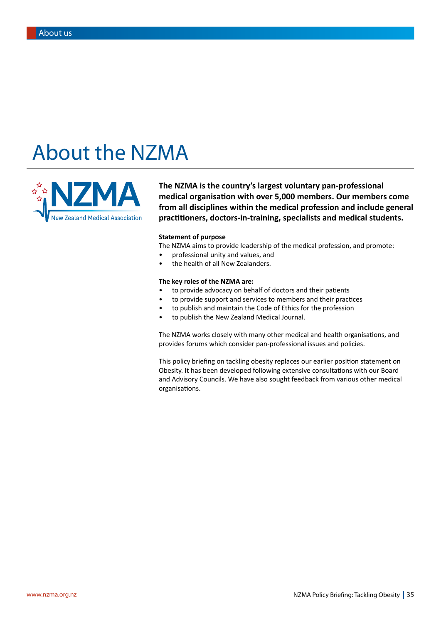## About the NZMA



**The NZMA is the country's largest voluntary pan-professional medical organisation with over 5,000 members. Our members come from all disciplines within the medical profession and include general practitioners, doctors-in-training, specialists and medical students.** 

#### **Statement of purpose**

The NZMA aims to provide leadership of the medical profession, and promote:

- professional unity and values, and
- the health of all New Zealanders.

### **The key roles of the NZMA are:**

- to provide advocacy on behalf of doctors and their patients
- to provide support and services to members and their practices
- to publish and maintain the Code of Ethics for the profession
- to publish the New Zealand Medical Journal.

The NZMA works closely with many other medical and health organisations, and provides forums which consider pan-professional issues and policies.

This policy briefing on tackling obesity replaces our earlier position statement on Obesity. It has been developed following extensive consultations with our Board and Advisory Councils. We have also sought feedback from various other medical organisations.